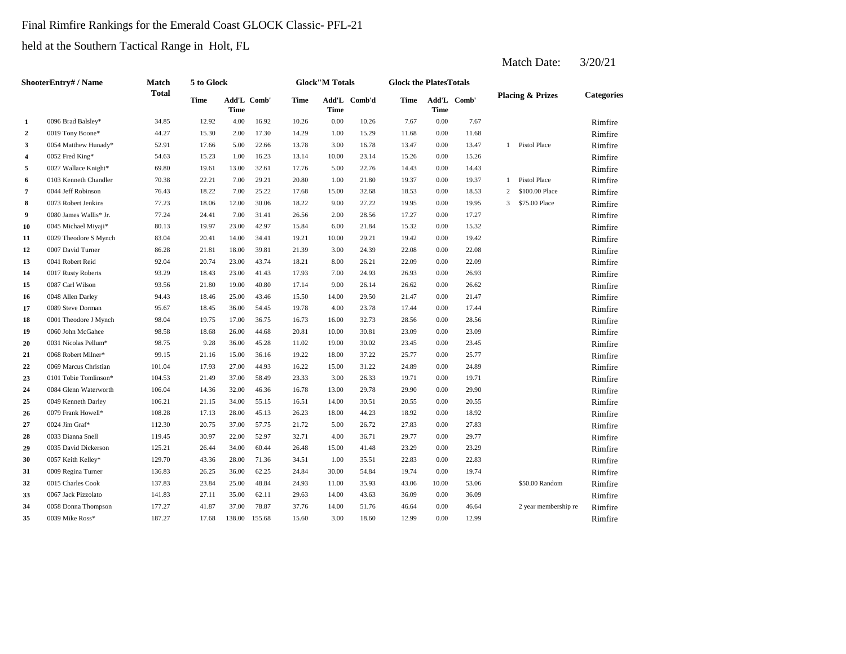## Final Rimfire Rankings for the Emerald Coast GLOCK Classic- PFL-21

held at the Southern Tactical Range in Holt, FL

|                         | ShooterEntry# / Name   | Match        | 5 to Glock  |                            |        |       | <b>Glock</b> "M Totals |        | <b>Glock the PlatesTotals</b> |             |             |                |                             |                   |
|-------------------------|------------------------|--------------|-------------|----------------------------|--------|-------|------------------------|--------|-------------------------------|-------------|-------------|----------------|-----------------------------|-------------------|
|                         |                        | <b>Total</b> | <b>Time</b> | Add'L Comb'<br><b>Time</b> |        | Time  | Add'L<br>Time          | Comb'd | Time                          | <b>Time</b> | Add'L Comb' |                | <b>Placing &amp; Prizes</b> | <b>Categories</b> |
| 1                       | 0096 Brad Balsley*     | 34.85        | 12.92       | 4.00                       | 16.92  | 10.26 | 0.00                   | 10.26  | 7.67                          | 0.00        | 7.67        |                |                             | Rimfire           |
| $\overline{2}$          | 0019 Tony Boone*       | 44.27        | 15.30       | 2.00                       | 17.30  | 14.29 | 1.00                   | 15.29  | 11.68                         | 0.00        | 11.68       |                |                             | Rimfire           |
| 3                       | 0054 Matthew Hunady*   | 52.91        | 17.66       | 5.00                       | 22.66  | 13.78 | 3.00                   | 16.78  | 13.47                         | 0.00        | 13.47       |                | 1 Pistol Place              | Rimfire           |
| $\overline{\mathbf{4}}$ | 0052 Fred King*        | 54.63        | 15.23       | 1.00                       | 16.23  | 13.14 | 10.00                  | 23.14  | 15.26                         | 0.00        | 15.26       |                |                             | Rimfire           |
| 5                       | 0027 Wallace Knight*   | 69.80        | 19.61       | 13.00                      | 32.61  | 17.76 | 5.00                   | 22.76  | 14.43                         | 0.00        | 14.43       |                |                             | Rimfire           |
| 6                       | 0103 Kenneth Chandler  | 70.38        | 22.21       | 7.00                       | 29.21  | 20.80 | 1.00                   | 21.80  | 19.37                         | 0.00        | 19.37       |                | 1 Pistol Place              | Rimfire           |
| $\overline{7}$          | 0044 Jeff Robinson     | 76.43        | 18.22       | 7.00                       | 25.22  | 17.68 | 15.00                  | 32.68  | 18.53                         | 0.00        | 18.53       | $\overline{c}$ | \$100.00 Place              | Rimfire           |
| 8                       | 0073 Robert Jenkins    | 77.23        | 18.06       | 12.00                      | 30.06  | 18.22 | 9.00                   | 27.22  | 19.95                         | 0.00        | 19.95       | 3              | \$75.00 Place               | Rimfire           |
| 9                       | 0080 James Wallis* Jr. | 77.24        | 24.41       | 7.00                       | 31.41  | 26.56 | 2.00                   | 28.56  | 17.27                         | 0.00        | 17.27       |                |                             | Rimfire           |
| 10                      | 0045 Michael Miyaji*   | 80.13        | 19.97       | 23.00                      | 42.97  | 15.84 | 6.00                   | 21.84  | 15.32                         | 0.00        | 15.32       |                |                             | Rimfire           |
| 11                      | 0029 Theodore S Mynch  | 83.04        | 20.41       | 14.00                      | 34.41  | 19.21 | 10.00                  | 29.21  | 19.42                         | 0.00        | 19.42       |                |                             | Rimfire           |
| 12                      | 0007 David Turner      | 86.28        | 21.81       | 18.00                      | 39.81  | 21.39 | 3.00                   | 24.39  | 22.08                         | 0.00        | 22.08       |                |                             | Rimfire           |
| 13                      | 0041 Robert Reid       | 92.04        | 20.74       | 23.00                      | 43.74  | 18.21 | 8.00                   | 26.21  | 22.09                         | 0.00        | 22.09       |                |                             | Rimfire           |
| 14                      | 0017 Rusty Roberts     | 93.29        | 18.43       | 23.00                      | 41.43  | 17.93 | 7.00                   | 24.93  | 26.93                         | 0.00        | 26.93       |                |                             | Rimfire           |
| 15                      | 0087 Carl Wilson       | 93.56        | 21.80       | 19.00                      | 40.80  | 17.14 | 9.00                   | 26.14  | 26.62                         | 0.00        | 26.62       |                |                             | Rimfire           |
| 16                      | 0048 Allen Darley      | 94.43        | 18.46       | 25.00                      | 43.46  | 15.50 | 14.00                  | 29.50  | 21.47                         | 0.00        | 21.47       |                |                             | Rimfire           |
| 17                      | 0089 Steve Dorman      | 95.67        | 18.45       | 36.00                      | 54.45  | 19.78 | 4.00                   | 23.78  | 17.44                         | 0.00        | 17.44       |                |                             | Rimfire           |
| 18                      | 0001 Theodore J Mynch  | 98.04        | 19.75       | 17.00                      | 36.75  | 16.73 | 16.00                  | 32.73  | 28.56                         | 0.00        | 28.56       |                |                             | Rimfire           |
| 19                      | 0060 John McGahee      | 98.58        | 18.68       | 26.00                      | 44.68  | 20.81 | 10.00                  | 30.81  | 23.09                         | 0.00        | 23.09       |                |                             | Rimfire           |
| 20                      | 0031 Nicolas Pellum*   | 98.75        | 9.28        | 36.00                      | 45.28  | 11.02 | 19.00                  | 30.02  | 23.45                         | 0.00        | 23.45       |                |                             | Rimfire           |
| 21                      | 0068 Robert Milner*    | 99.15        | 21.16       | 15.00                      | 36.16  | 19.22 | 18.00                  | 37.22  | 25.77                         | 0.00        | 25.77       |                |                             | Rimfire           |
| 22                      | 0069 Marcus Christian  | 101.04       | 17.93       | 27.00                      | 44.93  | 16.22 | 15.00                  | 31.22  | 24.89                         | 0.00        | 24.89       |                |                             | Rimfire           |
| 23                      | 0101 Tobie Tomlinson*  | 104.53       | 21.49       | 37.00                      | 58.49  | 23.33 | 3.00                   | 26.33  | 19.71                         | 0.00        | 19.71       |                |                             | Rimfire           |
| 24                      | 0084 Glenn Waterworth  | 106.04       | 14.36       | 32.00                      | 46.36  | 16.78 | 13.00                  | 29.78  | 29.90                         | 0.00        | 29.90       |                |                             | Rimfire           |
| 25                      | 0049 Kenneth Darley    | 106.21       | 21.15       | 34.00                      | 55.15  | 16.51 | 14.00                  | 30.51  | 20.55                         | 0.00        | 20.55       |                |                             | Rimfire           |
| 26                      | 0079 Frank Howell*     | 108.28       | 17.13       | 28.00                      | 45.13  | 26.23 | 18.00                  | 44.23  | 18.92                         | 0.00        | 18.92       |                |                             | Rimfire           |
| 27                      | 0024 Jim Graf*         | 112.30       | 20.75       | 37.00                      | 57.75  | 21.72 | 5.00                   | 26.72  | 27.83                         | 0.00        | 27.83       |                |                             | Rimfire           |
| 28                      | 0033 Dianna Snell      | 119.45       | 30.97       | 22.00                      | 52.97  | 32.71 | 4.00                   | 36.71  | 29.77                         | 0.00        | 29.77       |                |                             | Rimfire           |
| 29                      | 0035 David Dickerson   | 125.21       | 26.44       | 34.00                      | 60.44  | 26.48 | 15.00                  | 41.48  | 23.29                         | 0.00        | 23.29       |                |                             | Rimfire           |
| 30                      | 0057 Keith Kelley*     | 129.70       | 43.36       | 28.00                      | 71.36  | 34.51 | 1.00                   | 35.51  | 22.83                         | 0.00        | 22.83       |                |                             | Rimfire           |
| 31                      | 0009 Regina Turner     | 136.83       | 26.25       | 36.00                      | 62.25  | 24.84 | 30.00                  | 54.84  | 19.74                         | 0.00        | 19.74       |                |                             | Rimfire           |
| 32                      | 0015 Charles Cook      | 137.83       | 23.84       | 25.00                      | 48.84  | 24.93 | 11.00                  | 35.93  | 43.06                         | 10.00       | 53.06       |                | \$50.00 Random              | Rimfire           |
| 33                      | 0067 Jack Pizzolato    | 141.83       | 27.11       | 35.00                      | 62.11  | 29.63 | 14.00                  | 43.63  | 36.09                         | 0.00        | 36.09       |                |                             | Rimfire           |
| 34                      | 0058 Donna Thompson    | 177.27       | 41.87       | 37.00                      | 78.87  | 37.76 | 14.00                  | 51.76  | 46.64                         | 0.00        | 46.64       |                | 2 year membership re        | Rimfire           |
| 35                      | 0039 Mike Ross*        | 187.27       | 17.68       | 138.00                     | 155.68 | 15.60 | 3.00                   | 18.60  | 12.99                         | 0.00        | 12.99       |                |                             | Rimfire           |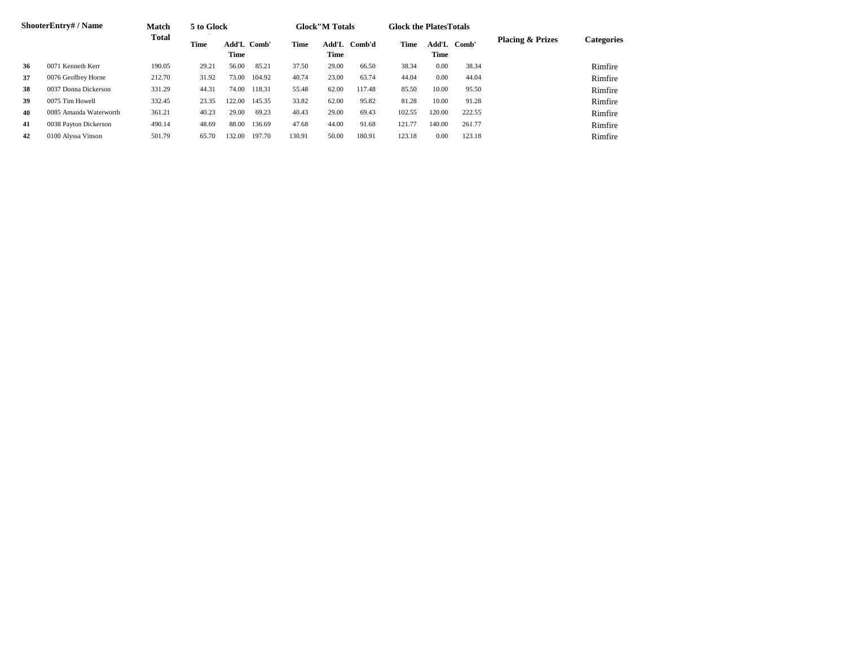|    | <b>ShooterEntry#/Name</b> | <b>Match</b> | 5 to Glock |                            |        |        | <b>Glock</b> "M Totals |        | <b>Glock the Plates Totals</b> |        |             |                             |            |
|----|---------------------------|--------------|------------|----------------------------|--------|--------|------------------------|--------|--------------------------------|--------|-------------|-----------------------------|------------|
|    |                           | <b>Total</b> | Time       | <b>Add'L Comb'</b><br>Time |        | Time   | Add'L<br>Time          | Comb'd | Time                           | Time   | Add'L Comb' | <b>Placing &amp; Prizes</b> | Categories |
| 36 | 0071 Kenneth Kerr         | 190.05       | 29.21      | 56.00                      | 85.21  | 37.50  | 29.00                  | 66.50  | 38.34                          | 0.00   | 38.34       |                             | Rimfire    |
| 37 | 0076 Geoffrey Horne       | 212.70       | 31.92      | 73.00                      | 104.92 | 40.74  | 23.00                  | 63.74  | 44.04                          | 0.00   | 44.04       |                             | Rimfire    |
| 38 | 0037 Donna Dickerson      | 331.29       | 44.31      | 74.00                      | 118.31 | 55.48  | 62.00                  | 117.48 | 85.50                          | 10.00  | 95.50       |                             | Rimfire    |
| 39 | 0075 Tim Howell           | 332.45       | 23.35      | 122.00                     | 145.35 | 33.82  | 62.00                  | 95.82  | 81.28                          | 10.00  | 91.28       |                             | Rimfire    |
| 40 | 0085 Amanda Waterworth    | 361.21       | 40.23      | 29.00                      | 69.23  | 40.43  | 29.00                  | 69.43  | 102.55                         | 120.00 | 222.55      |                             | Rimfire    |
| 41 | 0038 Payton Dickerson     | 490.14       | 48.69      | 88.00                      | 136.69 | 47.68  | 44.00                  | 91.68  | 121.77                         | 140.00 | 261.77      |                             | Rimfire    |
| 42 | 0100 Alyssa Vinson        | 501.79       | 65.70      | 132.00                     | 197.70 | 130.91 | 50.00                  | 180.91 | 123.18                         | 0.00   | 123.18      |                             | Rimfire    |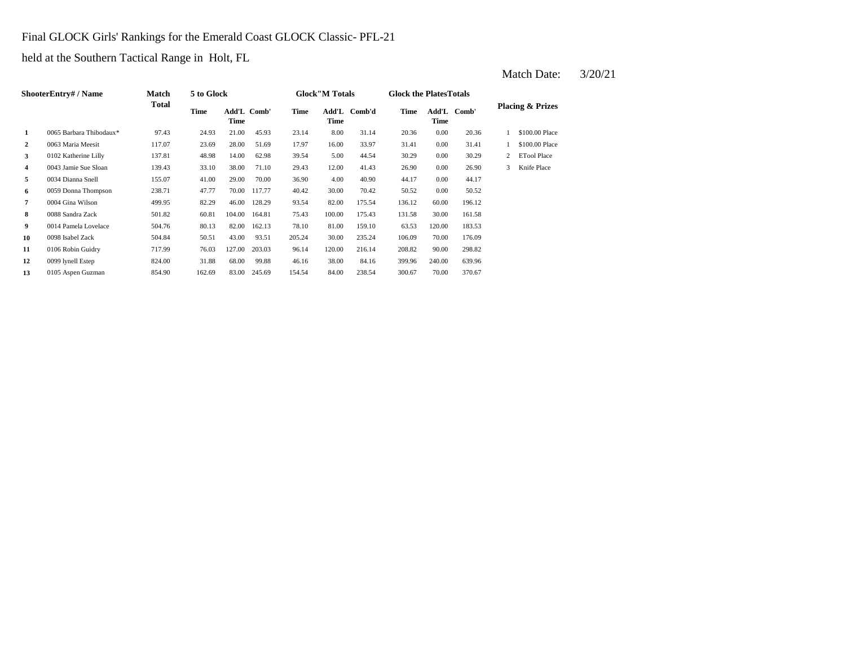## Final GLOCK Girls' Rankings for the Emerald Coast GLOCK Classic- PFL-21

held at the Southern Tactical Range in Holt, FL

|                | <b>ShooterEntry# / Name</b> | Match  | 5 to Glock |                     |        |        | <b>Glock</b> "M Totals |              | <b>Glock the Plates Totals</b> |        |             |   |                             |
|----------------|-----------------------------|--------|------------|---------------------|--------|--------|------------------------|--------------|--------------------------------|--------|-------------|---|-----------------------------|
|                |                             | Total  | Time       | Add'L Comb'<br>Time |        | Time   | Time                   | Add'L Comb'd | Time                           | Time   | Add'L Comb' |   | <b>Placing &amp; Prizes</b> |
| 1              | 0065 Barbara Thibodaux*     | 97.43  | 24.93      | 21.00               | 45.93  | 23.14  | 8.00                   | 31.14        | 20.36                          | 0.00   | 20.36       |   | \$100.00 Place              |
| $\overline{2}$ | 0063 Maria Meesit           | 117.07 | 23.69      | 28.00               | 51.69  | 17.97  | 16.00                  | 33.97        | 31.41                          | 0.00   | 31.41       |   | \$100.00 Place              |
| 3              | 0102 Katherine Lilly        | 137.81 | 48.98      | 14.00               | 62.98  | 39.54  | 5.00                   | 44.54        | 30.29                          | 0.00   | 30.29       | 2 | <b>ETool Place</b>          |
| 4              | 0043 Jamie Sue Sloan        | 139.43 | 33.10      | 38.00               | 71.10  | 29.43  | 12.00                  | 41.43        | 26.90                          | 0.00   | 26.90       | 3 | Knife Place                 |
| 5              | 0034 Dianna Snell           | 155.07 | 41.00      | 29.00               | 70.00  | 36.90  | 4.00                   | 40.90        | 44.17                          | 0.00   | 44.17       |   |                             |
| 6              | 0059 Donna Thompson         | 238.71 | 47.77      | 70.00               | 117.77 | 40.42  | 30.00                  | 70.42        | 50.52                          | 0.00   | 50.52       |   |                             |
| 7              | 0004 Gina Wilson            | 499.95 | 82.29      | 46.00               | 128.29 | 93.54  | 82.00                  | 175.54       | 136.12                         | 60.00  | 196.12      |   |                             |
| 8              | 0088 Sandra Zack            | 501.82 | 60.81      | 104.00              | 164.81 | 75.43  | 100.00                 | 175.43       | 131.58                         | 30.00  | 161.58      |   |                             |
| 9              | 0014 Pamela Lovelace        | 504.76 | 80.13      | 82.00               | 162.13 | 78.10  | 81.00                  | 159.10       | 63.53                          | 120.00 | 183.53      |   |                             |
| 10             | 0098 Isabel Zack            | 504.84 | 50.51      | 43.00               | 93.51  | 205.24 | 30.00                  | 235.24       | 106.09                         | 70.00  | 176.09      |   |                             |
| 11             | 0106 Robin Guidry           | 717.99 | 76.03      | 127.00              | 203.03 | 96.14  | 120.00                 | 216.14       | 208.82                         | 90.00  | 298.82      |   |                             |
| 12             | 0099 lynell Estep           | 824.00 | 31.88      | 68.00               | 99.88  | 46.16  | 38.00                  | 84.16        | 399.96                         | 240.00 | 639.96      |   |                             |
| 13             | 0105 Aspen Guzman           | 854.90 | 162.69     | 83.00               | 245.69 | 154.54 | 84.00                  | 238.54       | 300.67                         | 70.00  | 370.67      |   |                             |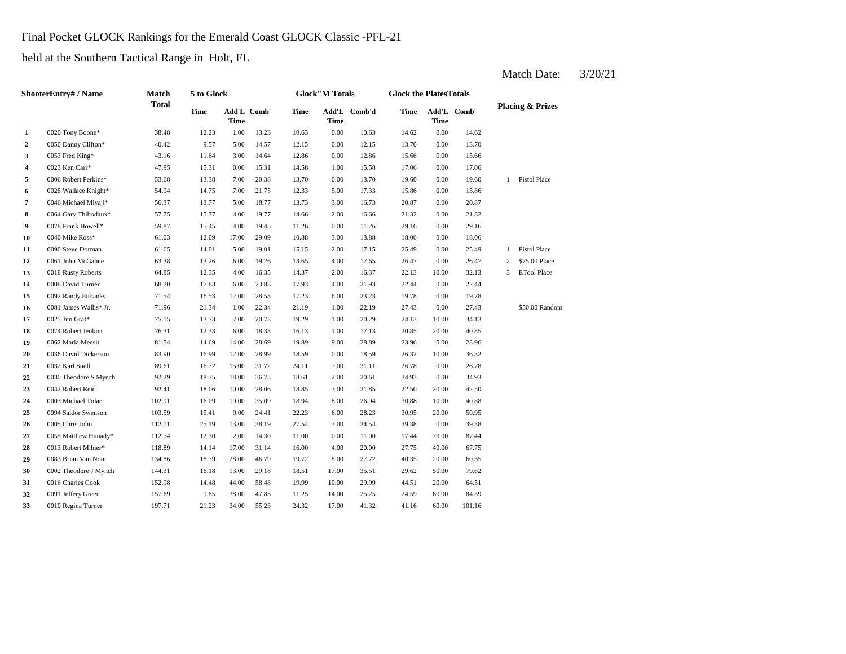## Final Pocket GLOCK Rankings for the Emerald Coast GLOCK Classic -PFL-21

held at the Southern Tactical Range in Holt, FL

|                | ShooterEntry# / Name   | Match        | 5 to Glock |       |             |       | <b>Glock"M Totals</b> |              | <b>Glock the PlatesTotals</b> |                            |        |                |                             |
|----------------|------------------------|--------------|------------|-------|-------------|-------|-----------------------|--------------|-------------------------------|----------------------------|--------|----------------|-----------------------------|
|                |                        | <b>Total</b> | Time       | Time  | Add'L Comb' | Time  | Time                  | Add'L Comb'd | Time                          | Add'L Comb'<br><b>Time</b> |        |                | <b>Placing &amp; Prizes</b> |
| 1              | 0020 Tony Boone*       | 38.48        | 12.23      | 1.00  | 13.23       | 10.63 | 0.00                  | 10.63        | 14.62                         | 0.00                       | 14.62  |                |                             |
| $\overline{2}$ | 0050 Danny Clifton*    | 40.42        | 9.57       | 5.00  | 14.57       | 12.15 | 0.00                  | 12.15        | 13.70                         | 0.00                       | 13.70  |                |                             |
| 3              | 0053 Fred King*        | 43.16        | 11.64      | 3.00  | 14.64       | 12.86 | 0.00                  | 12.86        | 15.66                         | 0.00                       | 15.66  |                |                             |
| 4              | 0023 Ken Carr*         | 47.95        | 15.31      | 0.00  | 15.31       | 14.58 | 1.00                  | 15.58        | 17.06                         | 0.00                       | 17.06  |                |                             |
| 5              | 0006 Robert Perkins*   | 53.68        | 13.38      | 7.00  | 20.38       | 13.70 | 0.00                  | 13.70        | 19.60                         | 0.00                       | 19.60  | $\mathbf{1}$   | Pistol Place                |
| 6              | 0028 Wallace Knight*   | 54.94        | 14.75      | 7.00  | 21.75       | 12.33 | 5.00                  | 17.33        | 15.86                         | 0.00                       | 15.86  |                |                             |
| $\overline{7}$ | 0046 Michael Miyaji*   | 56.37        | 13.77      | 5.00  | 18.77       | 13.73 | 3.00                  | 16.73        | 20.87                         | 0.00                       | 20.87  |                |                             |
| 8              | 0064 Gary Thibodaux*   | 57.75        | 15.77      | 4.00  | 19.77       | 14.66 | 2.00                  | 16.66        | 21.32                         | 0.00                       | 21.32  |                |                             |
| 9              | 0078 Frank Howell*     | 59.87        | 15.45      | 4.00  | 19.45       | 11.26 | 0.00                  | 11.26        | 29.16                         | 0.00                       | 29.16  |                |                             |
| 10             | 0040 Mike Ross*        | 61.03        | 12.09      | 17.00 | 29.09       | 10.88 | 3.00                  | 13.88        | 18.06                         | 0.00                       | 18.06  |                |                             |
| 11             | 0090 Steve Dorman      | 61.65        | 14.01      | 5.00  | 19.01       | 15.15 | 2.00                  | 17.15        | 25.49                         | 0.00                       | 25.49  | $\mathbf{1}$   | Pistol Place                |
| 12             | 0061 John McGahee      | 63.38        | 13.26      | 6.00  | 19.26       | 13.65 | 4.00                  | 17.65        | 26.47                         | 0.00                       | 26.47  | $\overline{c}$ | \$75.00 Place               |
| 13             | 0018 Rusty Roberts     | 64.85        | 12.35      | 4.00  | 16.35       | 14.37 | 2.00                  | 16.37        | 22.13                         | 10.00                      | 32.13  | $\overline{3}$ | <b>ETool Place</b>          |
| 14             | 0008 David Turner      | 68.20        | 17.83      | 6.00  | 23.83       | 17.93 | 4.00                  | 21.93        | 22.44                         | 0.00                       | 22.44  |                |                             |
| 15             | 0092 Randy Eubanks     | 71.54        | 16.53      | 12.00 | 28.53       | 17.23 | 6.00                  | 23.23        | 19.78                         | 0.00                       | 19.78  |                |                             |
| 16             | 0081 James Wallis* Jr. | 71.96        | 21.34      | 1.00  | 22.34       | 21.19 | 1.00                  | 22.19        | 27.43                         | 0.00                       | 27.43  |                | \$50.00 Random              |
| 17             | 0025 Jim Graf*         | 75.15        | 13.73      | 7.00  | 20.73       | 19.29 | 1.00                  | 20.29        | 24.13                         | 10.00                      | 34.13  |                |                             |
| 18             | 0074 Robert Jenkins    | 76.31        | 12.33      | 6.00  | 18.33       | 16.13 | 1.00                  | 17.13        | 20.85                         | 20.00                      | 40.85  |                |                             |
| 19             | 0062 Maria Meesit      | 81.54        | 14.69      | 14.00 | 28.69       | 19.89 | 9.00                  | 28.89        | 23.96                         | 0.00                       | 23.96  |                |                             |
| 20             | 0036 David Dickerson   | 83.90        | 16.99      | 12.00 | 28.99       | 18.59 | 0.00                  | 18.59        | 26.32                         | 10.00                      | 36.32  |                |                             |
| 21             | 0032 Karl Snell        | 89.61        | 16.72      | 15.00 | 31.72       | 24.11 | 7.00                  | 31.11        | 26.78                         | 0.00                       | 26.78  |                |                             |
| 22             | 0030 Theodore S Mynch  | 92.29        | 18.75      | 18.00 | 36.75       | 18.61 | 2.00                  | 20.61        | 34.93                         | 0.00                       | 34.93  |                |                             |
| 23             | 0042 Robert Reid       | 92.41        | 18.06      | 10.00 | 28.06       | 18.85 | 3.00                  | 21.85        | 22.50                         | 20.00                      | 42.50  |                |                             |
| 24             | 0003 Michael Tolar     | 102.91       | 16.09      | 19.00 | 35.09       | 18.94 | 8.00                  | 26.94        | 30.88                         | 10.00                      | 40.88  |                |                             |
| 25             | 0094 Saldor Swenson    | 103.59       | 15.41      | 9.00  | 24.41       | 22.23 | 6.00                  | 28.23        | 30.95                         | 20.00                      | 50.95  |                |                             |
| 26             | 0005 Chris John        | 112.11       | 25.19      | 13.00 | 38.19       | 27.54 | 7.00                  | 34.54        | 39.38                         | 0.00                       | 39.38  |                |                             |
| 27             | 0055 Matthew Hunady*   | 112.74       | 12.30      | 2.00  | 14.30       | 11.00 | 0.00                  | 11.00        | 17.44                         | 70.00                      | 87.44  |                |                             |
| 28             | 0013 Robert Milner*    | 118.89       | 14.14      | 17.00 | 31.14       | 16.00 | 4.00                  | 20.00        | 27.75                         | 40.00                      | 67.75  |                |                             |
| 29             | 0083 Brian Van Note    | 134.86       | 18.79      | 28.00 | 46.79       | 19.72 | 8.00                  | 27.72        | 40.35                         | 20.00                      | 60.35  |                |                             |
| 30             | 0002 Theodore J Mynch  | 144.31       | 16.18      | 13.00 | 29.18       | 18.51 | 17.00                 | 35.51        | 29.62                         | 50.00                      | 79.62  |                |                             |
| 31             | 0016 Charles Cook      | 152.98       | 14.48      | 44.00 | 58.48       | 19.99 | 10.00                 | 29.99        | 44.51                         | 20.00                      | 64.51  |                |                             |
| 32             | 0091 Jeffery Green     | 157.69       | 9.85       | 38.00 | 47.85       | 11.25 | 14.00                 | 25.25        | 24.59                         | 60.00                      | 84.59  |                |                             |
| 33             | 0010 Regina Turner     | 197.71       | 21.23      | 34.00 | 55.23       | 24.32 | 17.00                 | 41.32        | 41.16                         | 60.00                      | 101.16 |                |                             |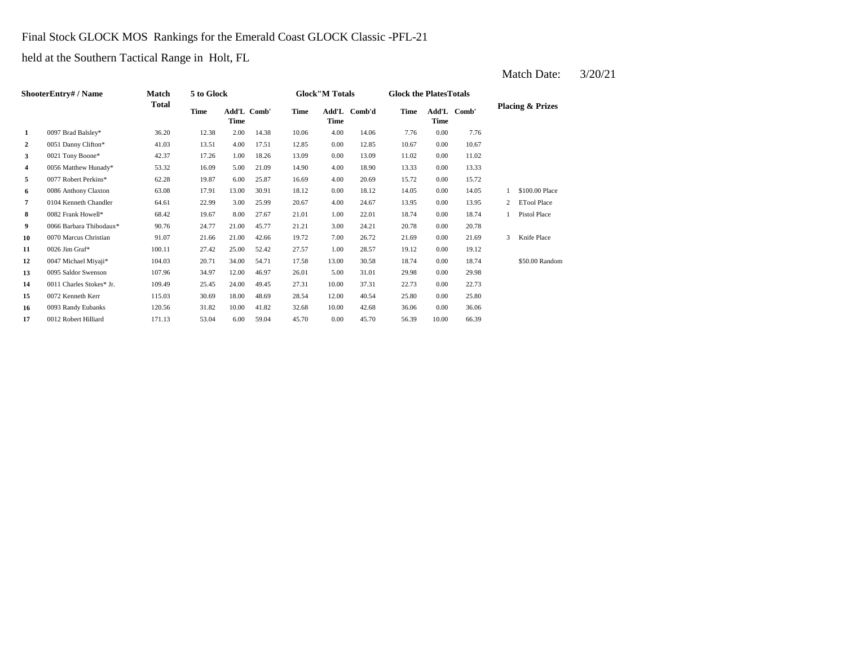## Final Stock GLOCK MOS Rankings for the Emerald Coast GLOCK Classic -PFL-21

held at the Southern Tactical Range in Holt, FL

|                | <b>ShooterEntry#/Name</b> | Match  | 5 to Glock |       |             |       | <b>Glock"M Totals</b> |              | <b>Glock the Plates Totals</b> |       |             |                |                             |
|----------------|---------------------------|--------|------------|-------|-------------|-------|-----------------------|--------------|--------------------------------|-------|-------------|----------------|-----------------------------|
|                |                           | Total  | Time       | Time  | Add'L Comb' | Time  | <b>Time</b>           | Add'L Comb'd | Time                           | Time  | Add'L Comb' |                | <b>Placing &amp; Prizes</b> |
| 1              | 0097 Brad Balsley*        | 36.20  | 12.38      | 2.00  | 14.38       | 10.06 | 4.00                  | 14.06        | 7.76                           | 0.00  | 7.76        |                |                             |
| $\overline{a}$ | 0051 Danny Clifton*       | 41.03  | 13.51      | 4.00  | 17.51       | 12.85 | 0.00                  | 12.85        | 10.67                          | 0.00  | 10.67       |                |                             |
| 3              | 0021 Tony Boone*          | 42.37  | 17.26      | 1.00  | 18.26       | 13.09 | 0.00                  | 13.09        | 11.02                          | 0.00  | 11.02       |                |                             |
| 4              | 0056 Matthew Hunady*      | 53.32  | 16.09      | 5.00  | 21.09       | 14.90 | 4.00                  | 18.90        | 13.33                          | 0.00  | 13.33       |                |                             |
| 5              | 0077 Robert Perkins*      | 62.28  | 19.87      | 6.00  | 25.87       | 16.69 | 4.00                  | 20.69        | 15.72                          | 0.00  | 15.72       |                |                             |
| 6              | 0086 Anthony Claxton      | 63.08  | 17.91      | 13.00 | 30.91       | 18.12 | 0.00                  | 18.12        | 14.05                          | 0.00  | 14.05       |                | \$100.00 Place              |
| $\overline{7}$ | 0104 Kenneth Chandler     | 64.61  | 22.99      | 3.00  | 25.99       | 20.67 | 4.00                  | 24.67        | 13.95                          | 0.00  | 13.95       | $\overline{2}$ | <b>ETool Place</b>          |
| 8              | 0082 Frank Howell*        | 68.42  | 19.67      | 8.00  | 27.67       | 21.01 | 1.00                  | 22.01        | 18.74                          | 0.00  | 18.74       |                | <b>Pistol Place</b>         |
| 9              | 0066 Barbara Thibodaux*   | 90.76  | 24.77      | 21.00 | 45.77       | 21.21 | 3.00                  | 24.21        | 20.78                          | 0.00  | 20.78       |                |                             |
| 10             | 0070 Marcus Christian     | 91.07  | 21.66      | 21.00 | 42.66       | 19.72 | 7.00                  | 26.72        | 21.69                          | 0.00  | 21.69       | 3              | Knife Place                 |
| 11             | $0026$ Jim Graf*          | 100.11 | 27.42      | 25.00 | 52.42       | 27.57 | 1.00                  | 28.57        | 19.12                          | 0.00  | 19.12       |                |                             |
| 12             | 0047 Michael Miyaji*      | 104.03 | 20.71      | 34.00 | 54.71       | 17.58 | 13.00                 | 30.58        | 18.74                          | 0.00  | 18.74       |                | \$50.00 Random              |
| 13             | 0095 Saldor Swenson       | 107.96 | 34.97      | 12.00 | 46.97       | 26.01 | 5.00                  | 31.01        | 29.98                          | 0.00  | 29.98       |                |                             |
| 14             | 0011 Charles Stokes* Jr.  | 109.49 | 25.45      | 24.00 | 49.45       | 27.31 | 10.00                 | 37.31        | 22.73                          | 0.00  | 22.73       |                |                             |
| 15             | 0072 Kenneth Kerr         | 115.03 | 30.69      | 18.00 | 48.69       | 28.54 | 12.00                 | 40.54        | 25.80                          | 0.00  | 25.80       |                |                             |
| 16             | 0093 Randy Eubanks        | 120.56 | 31.82      | 10.00 | 41.82       | 32.68 | 10.00                 | 42.68        | 36.06                          | 0.00  | 36.06       |                |                             |
| 17             | 0012 Robert Hilliard      | 171.13 | 53.04      | 6.00  | 59.04       | 45.70 | 0.00                  | 45.70        | 56.39                          | 10.00 | 66.39       |                |                             |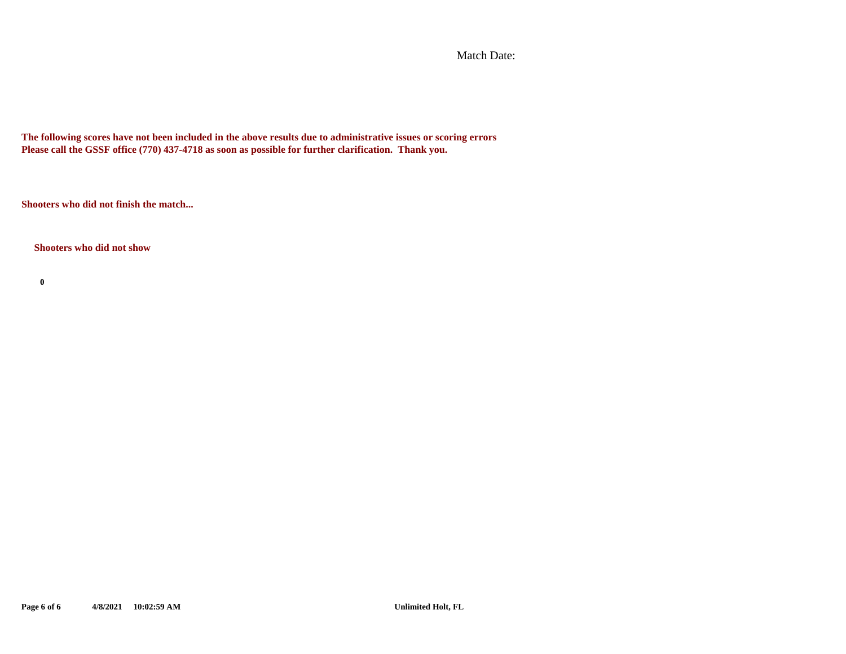Match Date:

**The following scores have not been included in the above results due to administrative issues or scoring errors Please call the GSSF office (770) 437-4718 as soon as possible for further clarification. Thank you.**

**Shooters who did not finish the match...**

#### **Shooters who did not show**

**0**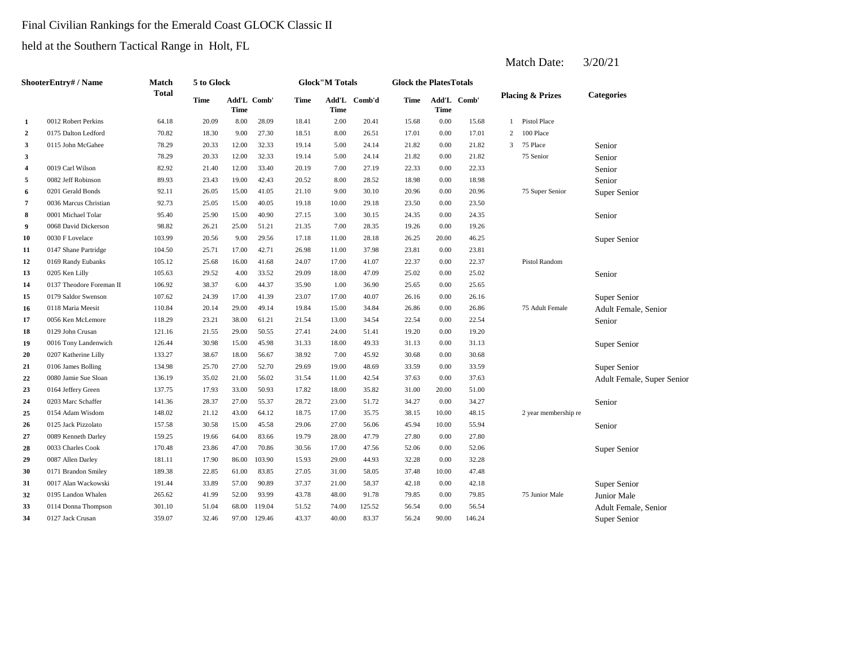## Final Civilian Rankings for the Emerald Coast GLOCK Classic II

held at the Southern Tactical Range in Holt, FL

|                | ShooterEntry# / Name     | Match  | 5 to Glock  |                            |        |             | <b>Glock</b> "M Totals |              | <b>Glock the PlatesTotals</b> |       |             |    |                             |                            |
|----------------|--------------------------|--------|-------------|----------------------------|--------|-------------|------------------------|--------------|-------------------------------|-------|-------------|----|-----------------------------|----------------------------|
|                |                          | Total  | <b>Time</b> | Add'L Comb'<br><b>Time</b> |        | <b>Time</b> | Time                   | Add'L Comb'd | <b>Time</b>                   | Time  | Add'L Comb' |    | <b>Placing &amp; Prizes</b> | <b>Categories</b>          |
| 1              | 0012 Robert Perkins      | 64.18  | 20.09       | 8.00                       | 28.09  | 18.41       | 2.00                   | 20.41        | 15.68                         | 0.00  | 15.68       | -1 | Pistol Place                |                            |
| $\overline{2}$ | 0175 Dalton Ledford      | 70.82  | 18.30       | 9.00                       | 27.30  | 18.51       | 8.00                   | 26.51        | 17.01                         | 0.00  | 17.01       | 2  | 100 Place                   |                            |
| 3              | 0115 John McGahee        | 78.29  | 20.33       | 12.00                      | 32.33  | 19.14       | 5.00                   | 24.14        | 21.82                         | 0.00  | 21.82       | 3  | 75 Place                    | Senior                     |
| 3              |                          | 78.29  | 20.33       | 12.00                      | 32.33  | 19.14       | 5.00                   | 24.14        | 21.82                         | 0.00  | 21.82       |    | 75 Senior                   | Senior                     |
| 4              | 0019 Carl Wilson         | 82.92  | 21.40       | 12.00                      | 33.40  | 20.19       | 7.00                   | 27.19        | 22.33                         | 0.00  | 22.33       |    |                             | Senior                     |
| 5              | 0082 Jeff Robinson       | 89.93  | 23.43       | 19.00                      | 42.43  | 20.52       | 8.00                   | 28.52        | 18.98                         | 0.00  | 18.98       |    |                             | Senior                     |
| 6              | 0201 Gerald Bonds        | 92.11  | 26.05       | 15.00                      | 41.05  | 21.10       | 9.00                   | 30.10        | 20.96                         | 0.00  | 20.96       |    | 75 Super Senior             | Super Senior               |
| 7              | 0036 Marcus Christian    | 92.73  | 25.05       | 15.00                      | 40.05  | 19.18       | 10.00                  | 29.18        | 23.50                         | 0.00  | 23.50       |    |                             |                            |
| 8              | 0001 Michael Tolar       | 95.40  | 25.90       | 15.00                      | 40.90  | 27.15       | 3.00                   | 30.15        | 24.35                         | 0.00  | 24.35       |    |                             | Senior                     |
| 9              | 0068 David Dickerson     | 98.82  | 26.21       | 25.00                      | 51.21  | 21.35       | 7.00                   | 28.35        | 19.26                         | 0.00  | 19.26       |    |                             |                            |
| 10             | 0030 F Lovelace          | 103.99 | 20.56       | 9.00                       | 29.56  | 17.18       | 11.00                  | 28.18        | 26.25                         | 20.00 | 46.25       |    |                             | Super Senior               |
| 11             | 0147 Shane Partridge     | 104.50 | 25.71       | 17.00                      | 42.71  | 26.98       | 11.00                  | 37.98        | 23.81                         | 0.00  | 23.81       |    |                             |                            |
| 12             | 0169 Randy Eubanks       | 105.12 | 25.68       | 16.00                      | 41.68  | 24.07       | 17.00                  | 41.07        | 22.37                         | 0.00  | 22.37       |    | Pistol Random               |                            |
| 13             | 0205 Ken Lilly           | 105.63 | 29.52       | 4.00                       | 33.52  | 29.09       | 18.00                  | 47.09        | 25.02                         | 0.00  | 25.02       |    |                             | Senior                     |
| 14             | 0137 Theodore Foreman II | 106.92 | 38.37       | 6.00                       | 44.37  | 35.90       | 1.00                   | 36.90        | 25.65                         | 0.00  | 25.65       |    |                             |                            |
| 15             | 0179 Saldor Swenson      | 107.62 | 24.39       | 17.00                      | 41.39  | 23.07       | 17.00                  | 40.07        | 26.16                         | 0.00  | 26.16       |    |                             | Super Senior               |
| 16             | 0118 Maria Meesit        | 110.84 | 20.14       | 29.00                      | 49.14  | 19.84       | 15.00                  | 34.84        | 26.86                         | 0.00  | 26.86       |    | 75 Adult Female             | Adult Female, Senior       |
| 17             | 0056 Ken McLemore        | 118.29 | 23.21       | 38.00                      | 61.21  | 21.54       | 13.00                  | 34.54        | 22.54                         | 0.00  | 22.54       |    |                             | Senior                     |
| 18             | 0129 John Crusan         | 121.16 | 21.55       | 29.00                      | 50.55  | 27.41       | 24.00                  | 51.41        | 19.20                         | 0.00  | 19.20       |    |                             |                            |
| 19             | 0016 Tony Landenwich     | 126.44 | 30.98       | 15.00                      | 45.98  | 31.33       | 18.00                  | 49.33        | 31.13                         | 0.00  | 31.13       |    |                             | Super Senior               |
| 20             | 0207 Katherine Lilly     | 133.27 | 38.67       | 18.00                      | 56.67  | 38.92       | 7.00                   | 45.92        | 30.68                         | 0.00  | 30.68       |    |                             |                            |
| 21             | 0106 James Bolling       | 134.98 | 25.70       | 27.00                      | 52.70  | 29.69       | 19.00                  | 48.69        | 33.59                         | 0.00  | 33.59       |    |                             | Super Senior               |
| 22             | 0080 Jamie Sue Sloan     | 136.19 | 35.02       | 21.00                      | 56.02  | 31.54       | 11.00                  | 42.54        | 37.63                         | 0.00  | 37.63       |    |                             | Adult Female, Super Senior |
| 23             | 0164 Jeffery Green       | 137.75 | 17.93       | 33.00                      | 50.93  | 17.82       | 18.00                  | 35.82        | 31.00                         | 20.00 | 51.00       |    |                             |                            |
| 24             | 0203 Marc Schaffer       | 141.36 | 28.37       | 27.00                      | 55.37  | 28.72       | 23.00                  | 51.72        | 34.27                         | 0.00  | 34.27       |    |                             | Senior                     |
| 25             | 0154 Adam Wisdom         | 148.02 | 21.12       | 43.00                      | 64.12  | 18.75       | 17.00                  | 35.75        | 38.15                         | 10.00 | 48.15       |    | 2 year membership re        |                            |
| 26             | 0125 Jack Pizzolato      | 157.58 | 30.58       | 15.00                      | 45.58  | 29.06       | 27.00                  | 56.06        | 45.94                         | 10.00 | 55.94       |    |                             | Senior                     |
| 27             | 0089 Kenneth Darley      | 159.25 | 19.66       | 64.00                      | 83.66  | 19.79       | 28.00                  | 47.79        | 27.80                         | 0.00  | 27.80       |    |                             |                            |
| 28             | 0033 Charles Cook        | 170.48 | 23.86       | 47.00                      | 70.86  | 30.56       | 17.00                  | 47.56        | 52.06                         | 0.00  | 52.06       |    |                             | Super Senior               |
| 29             | 0087 Allen Darley        | 181.11 | 17.90       | 86.00                      | 103.90 | 15.93       | 29.00                  | 44.93        | 32.28                         | 0.00  | 32.28       |    |                             |                            |
| 30             | 0171 Brandon Smiley      | 189.38 | 22.85       | 61.00                      | 83.85  | 27.05       | 31.00                  | 58.05        | 37.48                         | 10.00 | 47.48       |    |                             |                            |
| 31             | 0017 Alan Wackowski      | 191.44 | 33.89       | 57.00                      | 90.89  | 37.37       | 21.00                  | 58.37        | 42.18                         | 0.00  | 42.18       |    |                             | Super Senior               |
| 32             | 0195 Landon Whalen       | 265.62 | 41.99       | 52.00                      | 93.99  | 43.78       | 48.00                  | 91.78        | 79.85                         | 0.00  | 79.85       |    | 75 Junior Male              | Junior Male                |
| 33             | 0114 Donna Thompson      | 301.10 | 51.04       | 68.00                      | 119.04 | 51.52       | 74.00                  | 125.52       | 56.54                         | 0.00  | 56.54       |    |                             | Adult Female, Senior       |
| 34             | 0127 Jack Crusan         | 359.07 | 32.46       | 97.00                      | 129.46 | 43.37       | 40.00                  | 83.37        | 56.24                         | 90.00 | 146.24      |    |                             | Super Senior               |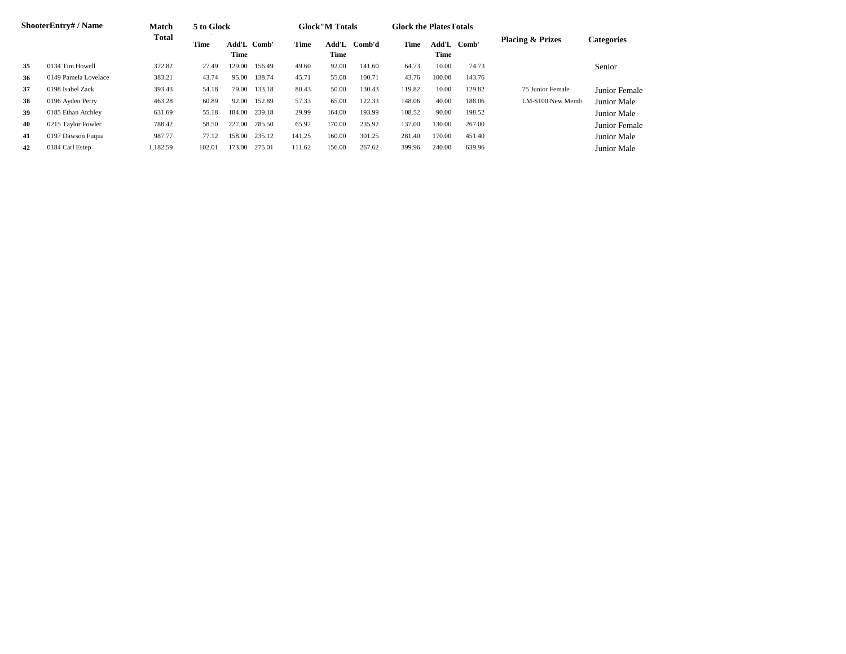|    | <b>ShooterEntry#/Name</b> | <b>Match</b> | 5 to Glock |                            |        |        | <b>Glock</b> "M Totals |        | <b>Glock the Plates Totals</b> |        |             |                             |                   |
|----|---------------------------|--------------|------------|----------------------------|--------|--------|------------------------|--------|--------------------------------|--------|-------------|-----------------------------|-------------------|
|    |                           | <b>Total</b> | Time       | <b>Add'L Comb'</b><br>Time |        | Time   | Add'L<br>Time          | Comb'd | Time                           | Time   | Add'L Comb' | <b>Placing &amp; Prizes</b> | <b>Categories</b> |
| 35 | 0134 Tim Howell           | 372.82       | 27.49      | 129.00                     | 156.49 | 49.60  | 92.00                  | 141.60 | 64.73                          | 10.00  | 74.73       |                             | Senior            |
| 36 | 0149 Pamela Lovelace      | 383.21       | 43.74      | 95.00                      | 138.74 | 45.71  | 55.00                  | 100.71 | 43.76                          | 100.00 | 143.76      |                             |                   |
| 37 | 0198 Isabel Zack          | 393.43       | 54.18      | 79.00                      | 133.18 | 80.43  | 50.00                  | 130.43 | 119.82                         | 10.00  | 129.82      | 75 Junior Female            | Junior Female     |
| 38 | 0196 Ayden Perry          | 463.28       | 60.89      | 92.00                      | 152.89 | 57.33  | 65.00                  | 122.33 | 148.06                         | 40.00  | 188.06      | LM-\$100 New Memb           | Junior Male       |
| 39 | 0185 Ethan Atchley        | 631.69       | 55.18      | 184.00                     | 239.18 | 29.99  | 164.00                 | 193.99 | 108.52                         | 90.00  | 198.52      |                             | Junior Male       |
| 40 | 0215 Taylor Fowler        | 788.42       | 58.50      | 227.00                     | 285.50 | 65.92  | 170.00                 | 235.92 | 137.00                         | 130.00 | 267.00      |                             | Junior Female     |
| 41 | 0197 Dawson Fuqua         | 987.77       | 77.12      | 158.00                     | 235.12 | 141.25 | 160.00                 | 301.25 | 281.40                         | 170.00 | 451.40      |                             | Junior Male       |
| 42 | 0184 Carl Estep           | .182.59      | 102.01     | 173.00                     | 275.01 | 111.62 | 156.00                 | 267.62 | 399.96                         | 240.00 | 639.96      |                             | Junior Male       |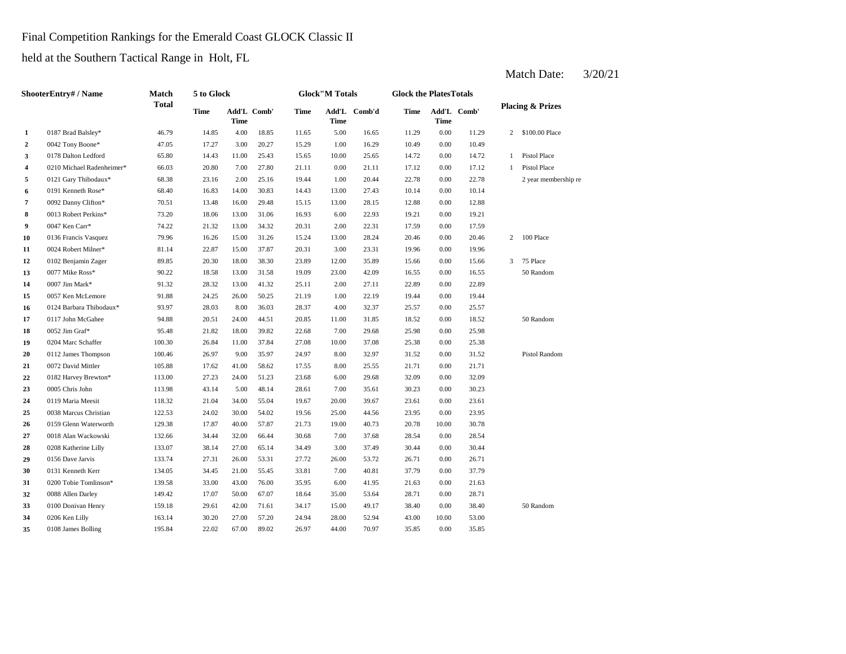## Final Competition Rankings for the Emerald Coast GLOCK Classic II

held at the Southern Tactical Range in Holt, FL

|                | <b>ShooterEntry# / Name</b> | Match        | 5 to Glock  |       |             |             | <b>Glock</b> "M Totals |              | <b>Glock the PlatesTotals</b> |             |             |                |                             |
|----------------|-----------------------------|--------------|-------------|-------|-------------|-------------|------------------------|--------------|-------------------------------|-------------|-------------|----------------|-----------------------------|
|                |                             | <b>Total</b> | <b>Time</b> | Time  | Add'L Comb' | <b>Time</b> | Time                   | Add'L Comb'd | Time                          | <b>Time</b> | Add'L Comb' |                | <b>Placing &amp; Prizes</b> |
| $\mathbf{1}$   | 0187 Brad Balsley*          | 46.79        | 14.85       | 4.00  | 18.85       | 11.65       | 5.00                   | 16.65        | 11.29                         | 0.00        | 11.29       | $\mathbf{2}$   | \$100.00 Place              |
| $\overline{2}$ | 0042 Tony Boone*            | 47.05        | 17.27       | 3.00  | 20.27       | 15.29       | 1.00                   | 16.29        | 10.49                         | 0.00        | 10.49       |                |                             |
| 3              | 0178 Dalton Ledford         | 65.80        | 14.43       | 11.00 | 25.43       | 15.65       | 10.00                  | 25.65        | 14.72                         | 0.00        | 14.72       | $\mathbf{1}$   | Pistol Place                |
| 4              | 0210 Michael Radenheimer*   | 66.03        | 20.80       | 7.00  | 27.80       | 21.11       | 0.00                   | 21.11        | 17.12                         | 0.00        | 17.12       | $\mathbf{1}$   | Pistol Place                |
| 5              | 0121 Gary Thibodaux*        | 68.38        | 23.16       | 2.00  | 25.16       | 19.44       | 1.00                   | 20.44        | 22.78                         | 0.00        | 22.78       |                | 2 year membership re        |
| 6              | 0191 Kenneth Rose*          | 68.40        | 16.83       | 14.00 | 30.83       | 14.43       | 13.00                  | 27.43        | 10.14                         | 0.00        | 10.14       |                |                             |
| 7              | 0092 Danny Clifton*         | 70.51        | 13.48       | 16.00 | 29.48       | 15.15       | 13.00                  | 28.15        | 12.88                         | 0.00        | 12.88       |                |                             |
| 8              | 0013 Robert Perkins*        | 73.20        | 18.06       | 13.00 | 31.06       | 16.93       | 6.00                   | 22.93        | 19.21                         | 0.00        | 19.21       |                |                             |
| 9              | 0047 Ken Carr*              | 74.22        | 21.32       | 13.00 | 34.32       | 20.31       | 2.00                   | 22.31        | 17.59                         | 0.00        | 17.59       |                |                             |
| 10             | 0136 Francis Vasquez        | 79.96        | 16.26       | 15.00 | 31.26       | 15.24       | 13.00                  | 28.24        | 20.46                         | 0.00        | 20.46       |                | 2 100 Place                 |
| 11             | 0024 Robert Milner*         | 81.14        | 22.87       | 15.00 | 37.87       | 20.31       | 3.00                   | 23.31        | 19.96                         | 0.00        | 19.96       |                |                             |
| 12             | 0102 Benjamin Zager         | 89.85        | 20.30       | 18.00 | 38.30       | 23.89       | 12.00                  | 35.89        | 15.66                         | 0.00        | 15.66       | $\overline{3}$ | 75 Place                    |
| 13             | 0077 Mike Ross*             | 90.22        | 18.58       | 13.00 | 31.58       | 19.09       | 23.00                  | 42.09        | 16.55                         | 0.00        | 16.55       |                | 50 Random                   |
| 14             | 0007 Jim Mark*              | 91.32        | 28.32       | 13.00 | 41.32       | 25.11       | 2.00                   | 27.11        | 22.89                         | 0.00        | 22.89       |                |                             |
| 15             | 0057 Ken McLemore           | 91.88        | 24.25       | 26.00 | 50.25       | 21.19       | 1.00                   | 22.19        | 19.44                         | 0.00        | 19.44       |                |                             |
| 16             | 0124 Barbara Thibodaux*     | 93.97        | 28.03       | 8.00  | 36.03       | 28.37       | 4.00                   | 32.37        | 25.57                         | 0.00        | 25.57       |                |                             |
| 17             | 0117 John McGahee           | 94.88        | 20.51       | 24.00 | 44.51       | 20.85       | 11.00                  | 31.85        | 18.52                         | 0.00        | 18.52       |                | 50 Random                   |
| 18             | 0052 Jim Graf*              | 95.48        | 21.82       | 18.00 | 39.82       | 22.68       | 7.00                   | 29.68        | 25.98                         | 0.00        | 25.98       |                |                             |
| 19             | 0204 Marc Schaffer          | 100.30       | 26.84       | 11.00 | 37.84       | 27.08       | 10.00                  | 37.08        | 25.38                         | 0.00        | 25.38       |                |                             |
| 20             | 0112 James Thompson         | 100.46       | 26.97       | 9.00  | 35.97       | 24.97       | 8.00                   | 32.97        | 31.52                         | 0.00        | 31.52       |                | Pistol Random               |
| 21             | 0072 David Mittler          | 105.88       | 17.62       | 41.00 | 58.62       | 17.55       | 8.00                   | 25.55        | 21.71                         | 0.00        | 21.71       |                |                             |
| 22             | 0182 Harvey Brewton*        | 113.00       | 27.23       | 24.00 | 51.23       | 23.68       | 6.00                   | 29.68        | 32.09                         | 0.00        | 32.09       |                |                             |
| 23             | 0005 Chris John             | 113.98       | 43.14       | 5.00  | 48.14       | 28.61       | 7.00                   | 35.61        | 30.23                         | 0.00        | 30.23       |                |                             |
| 24             | 0119 Maria Meesit           | 118.32       | 21.04       | 34.00 | 55.04       | 19.67       | 20.00                  | 39.67        | 23.61                         | 0.00        | 23.61       |                |                             |
| 25             | 0038 Marcus Christian       | 122.53       | 24.02       | 30.00 | 54.02       | 19.56       | 25.00                  | 44.56        | 23.95                         | 0.00        | 23.95       |                |                             |
| 26             | 0159 Glenn Waterworth       | 129.38       | 17.87       | 40.00 | 57.87       | 21.73       | 19.00                  | 40.73        | 20.78                         | 10.00       | 30.78       |                |                             |
| 27             | 0018 Alan Wackowski         | 132.66       | 34.44       | 32.00 | 66.44       | 30.68       | 7.00                   | 37.68        | 28.54                         | 0.00        | 28.54       |                |                             |
| 28             | 0208 Katherine Lilly        | 133.07       | 38.14       | 27.00 | 65.14       | 34.49       | 3.00                   | 37.49        | 30.44                         | 0.00        | 30.44       |                |                             |
| 29             | 0156 Dave Jarvis            | 133.74       | 27.31       | 26.00 | 53.31       | 27.72       | 26.00                  | 53.72        | 26.71                         | 0.00        | 26.71       |                |                             |
| 30             | 0131 Kenneth Kerr           | 134.05       | 34.45       | 21.00 | 55.45       | 33.81       | 7.00                   | 40.81        | 37.79                         | 0.00        | 37.79       |                |                             |
| 31             | 0200 Tobie Tomlinson*       | 139.58       | 33.00       | 43.00 | 76.00       | 35.95       | 6.00                   | 41.95        | 21.63                         | 0.00        | 21.63       |                |                             |
| 32             | 0088 Allen Darley           | 149.42       | 17.07       | 50.00 | 67.07       | 18.64       | 35.00                  | 53.64        | 28.71                         | 0.00        | 28.71       |                |                             |
| 33             | 0100 Donivan Henry          | 159.18       | 29.61       | 42.00 | 71.61       | 34.17       | 15.00                  | 49.17        | 38.40                         | 0.00        | 38.40       |                | 50 Random                   |
| 34             | 0206 Ken Lilly              | 163.14       | 30.20       | 27.00 | 57.20       | 24.94       | 28.00                  | 52.94        | 43.00                         | 10.00       | 53.00       |                |                             |
| 35             | 0108 James Bolling          | 195.84       | 22.02       | 67.00 | 89.02       | 26.97       | 44.00                  | 70.97        | 35.85                         | 0.00        | 35.85       |                |                             |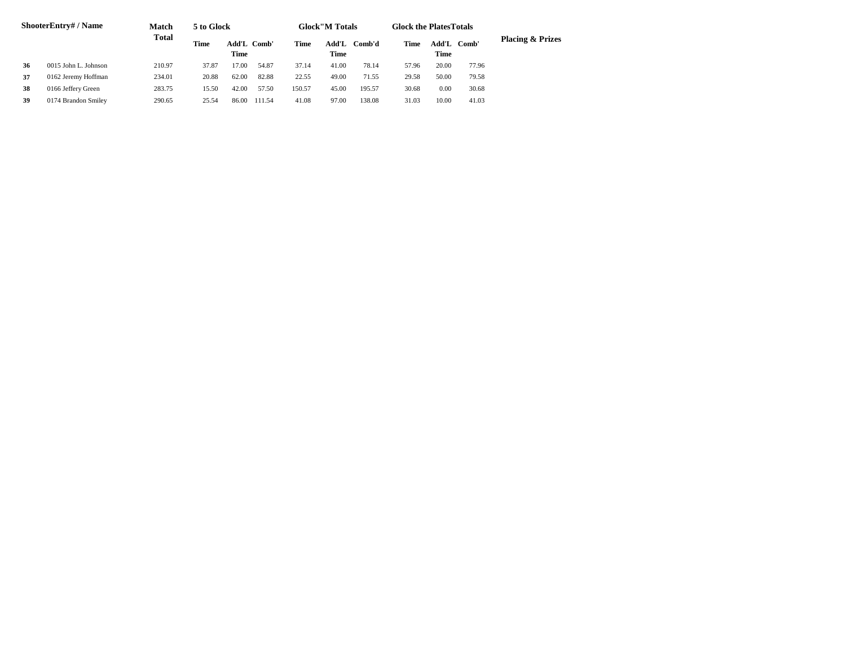|    | ShooterEntry# / Name | <b>Match</b> | 5 to Glock |                     |        |        | <b>Glock</b> "M Totals |        | <b>Glock the Plates Totals</b> |               |       |                             |
|----|----------------------|--------------|------------|---------------------|--------|--------|------------------------|--------|--------------------------------|---------------|-------|-----------------------------|
|    | 0015 John L. Johnson | Total        | Time       | Add'L Comb'<br>Time |        | Time   | Add'L<br>Time          | Comb'd | Time                           | Add'L<br>Time | Comb' | <b>Placing &amp; Prizes</b> |
| 36 |                      | 210.97       | 37.87      | 17.00               | 54.87  | 37.14  | 41.00                  | 78.14  | 57.96                          | 20.00         | 77.96 |                             |
| 37 | 0162 Jeremy Hoffman  | 234.01       | 20.88      | 62.00               | 82.88  | 22.55  | 49.00                  | 71.55  | 29.58                          | 50.00         | 79.58 |                             |
| 38 | 0166 Jeffery Green   | 283.75       | 15.50      | 42.00               | 57.50  | 150.57 | 45.00                  | 195.57 | 30.68                          | 0.00          | 30.68 |                             |
| 39 | 0174 Brandon Smiley  | 290.65       | 25.54      | 86.00               | 111.54 | 41.08  | 97.00                  | 138.08 | 31.03                          | 10.00         | 41.03 |                             |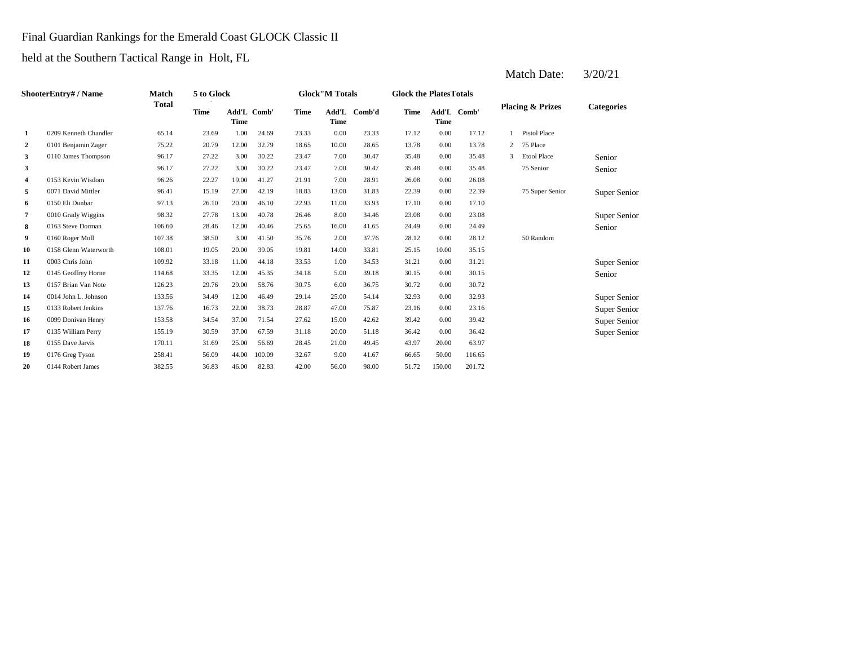## Final Guardian Rankings for the Emerald Coast GLOCK Classic II

held at the Southern Tactical Range in Holt, FL

|    | ShooterEntry# / Name  | Match        | 5 to Glock  |                            |        |             | <b>Glock</b> "M Totals |        | <b>Glock the PlatesTotals</b> |             |             |   |                             |                   |
|----|-----------------------|--------------|-------------|----------------------------|--------|-------------|------------------------|--------|-------------------------------|-------------|-------------|---|-----------------------------|-------------------|
|    |                       | <b>Total</b> | <b>Time</b> | Add'L Comb'<br><b>Time</b> |        | <b>Time</b> | Add'L<br><b>Time</b>   | Comb'd | <b>Time</b>                   | <b>Time</b> | Add'L Comb' |   | <b>Placing &amp; Prizes</b> | <b>Categories</b> |
| 1  | 0209 Kenneth Chandler | 65.14        | 23.69       | 1.00                       | 24.69  | 23.33       | 0.00                   | 23.33  | 17.12                         | 0.00        | 17.12       |   | <b>Pistol Place</b>         |                   |
| 2  | 0101 Benjamin Zager   | 75.22        | 20.79       | 12.00                      | 32.79  | 18.65       | 10.00                  | 28.65  | 13.78                         | 0.00        | 13.78       | 2 | 75 Place                    |                   |
| 3  | 0110 James Thompson   | 96.17        | 27.22       | 3.00                       | 30.22  | 23.47       | 7.00                   | 30.47  | 35.48                         | 0.00        | 35.48       | 3 | <b>Etool Place</b>          | Senior            |
| 3  |                       | 96.17        | 27.22       | 3.00                       | 30.22  | 23.47       | 7.00                   | 30.47  | 35.48                         | 0.00        | 35.48       |   | 75 Senior                   | Senior            |
| 4  | 0153 Kevin Wisdom     | 96.26        | 22.27       | 19.00                      | 41.27  | 21.91       | 7.00                   | 28.91  | 26.08                         | 0.00        | 26.08       |   |                             |                   |
| 5  | 0071 David Mittler    | 96.41        | 15.19       | 27.00                      | 42.19  | 18.83       | 13.00                  | 31.83  | 22.39                         | 0.00        | 22.39       |   | 75 Super Senior             | Super Senior      |
| 6  | 0150 Eli Dunbar       | 97.13        | 26.10       | 20.00                      | 46.10  | 22.93       | 11.00                  | 33.93  | 17.10                         | 0.00        | 17.10       |   |                             |                   |
| 7  | 0010 Grady Wiggins    | 98.32        | 27.78       | 13.00                      | 40.78  | 26.46       | 8.00                   | 34.46  | 23.08                         | 0.00        | 23.08       |   |                             | Super Senior      |
| 8  | 0163 Steve Dorman     | 106.60       | 28.46       | 12.00                      | 40.46  | 25.65       | 16.00                  | 41.65  | 24.49                         | 0.00        | 24.49       |   |                             | Senior            |
| 9  | 0160 Roger Moll       | 107.38       | 38.50       | 3.00                       | 41.50  | 35.76       | 2.00                   | 37.76  | 28.12                         | 0.00        | 28.12       |   | 50 Random                   |                   |
| 10 | 0158 Glenn Waterworth | 108.01       | 19.05       | 20.00                      | 39.05  | 19.81       | 14.00                  | 33.81  | 25.15                         | 10.00       | 35.15       |   |                             |                   |
| 11 | 0003 Chris John       | 109.92       | 33.18       | 11.00                      | 44.18  | 33.53       | 1.00                   | 34.53  | 31.21                         | 0.00        | 31.21       |   |                             | Super Senior      |
| 12 | 0145 Geoffrey Horne   | 114.68       | 33.35       | 12.00                      | 45.35  | 34.18       | 5.00                   | 39.18  | 30.15                         | 0.00        | 30.15       |   |                             | Senior            |
| 13 | 0157 Brian Van Note   | 126.23       | 29.76       | 29.00                      | 58.76  | 30.75       | 6.00                   | 36.75  | 30.72                         | 0.00        | 30.72       |   |                             |                   |
| 14 | 0014 John L. Johnson  | 133.56       | 34.49       | 12.00                      | 46.49  | 29.14       | 25.00                  | 54.14  | 32.93                         | 0.00        | 32.93       |   |                             | Super Senior      |
| 15 | 0133 Robert Jenkins   | 137.76       | 16.73       | 22.00                      | 38.73  | 28.87       | 47.00                  | 75.87  | 23.16                         | 0.00        | 23.16       |   |                             | Super Senior      |
| 16 | 0099 Donivan Henry    | 153.58       | 34.54       | 37.00                      | 71.54  | 27.62       | 15.00                  | 42.62  | 39.42                         | 0.00        | 39.42       |   |                             | Super Senior      |
| 17 | 0135 William Perry    | 155.19       | 30.59       | 37.00                      | 67.59  | 31.18       | 20.00                  | 51.18  | 36.42                         | 0.00        | 36.42       |   |                             | Super Senior      |
| 18 | 0155 Dave Jarvis      | 170.11       | 31.69       | 25.00                      | 56.69  | 28.45       | 21.00                  | 49.45  | 43.97                         | 20.00       | 63.97       |   |                             |                   |
| 19 | 0176 Greg Tyson       | 258.41       | 56.09       | 44.00                      | 100.09 | 32.67       | 9.00                   | 41.67  | 66.65                         | 50.00       | 116.65      |   |                             |                   |
| 20 | 0144 Robert James     | 382.55       | 36.83       | 46.00                      | 82.83  | 42.00       | 56.00                  | 98.00  | 51.72                         | 150.00      | 201.72      |   |                             |                   |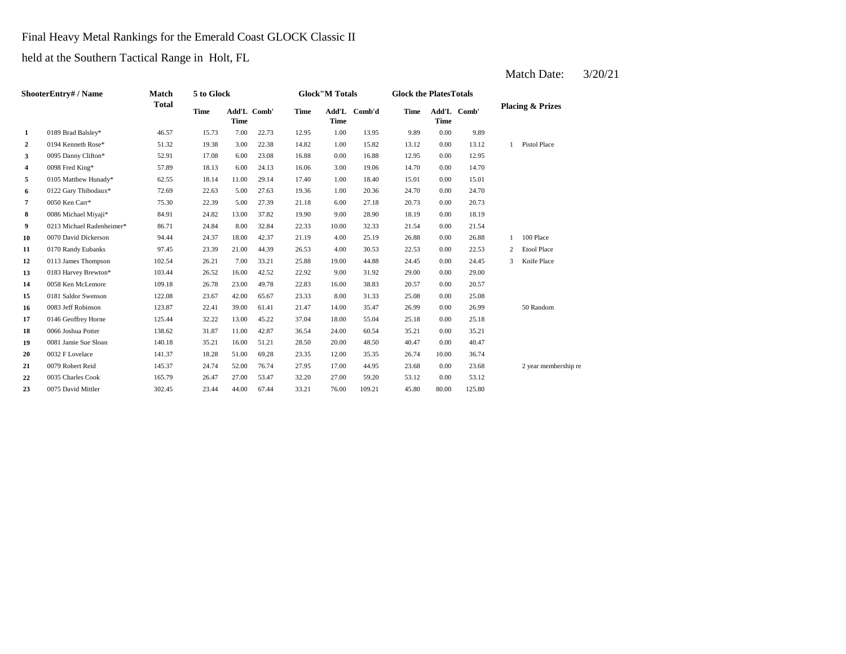# Final Heavy Metal Rankings for the Emerald Coast GLOCK Classic II

held at the Southern Tactical Range in Holt, FL

|                | <b>ShooterEntry# / Name</b> | <b>Match</b> | 5 to Glock  |             |             |             | <b>Glock"M Totals</b> |              | <b>Glock the PlatesTotals</b> |       |             |              |                             |
|----------------|-----------------------------|--------------|-------------|-------------|-------------|-------------|-----------------------|--------------|-------------------------------|-------|-------------|--------------|-----------------------------|
|                |                             | <b>Total</b> | <b>Time</b> | <b>Time</b> | Add'L Comb' | <b>Time</b> | <b>Time</b>           | Add'L Comb'd | <b>Time</b>                   | Time  | Add'L Comb' |              | <b>Placing &amp; Prizes</b> |
| 1              | 0189 Brad Balsley*          | 46.57        | 15.73       | 7.00        | 22.73       | 12.95       | 1.00                  | 13.95        | 9.89                          | 0.00  | 9.89        |              |                             |
| $\overline{a}$ | 0194 Kenneth Rose*          | 51.32        | 19.38       | 3.00        | 22.38       | 14.82       | 1.00                  | 15.82        | 13.12                         | 0.00  | 13.12       | $\mathbf{1}$ | Pistol Place                |
| 3              | 0095 Danny Clifton*         | 52.91        | 17.08       | 6.00        | 23.08       | 16.88       | 0.00                  | 16.88        | 12.95                         | 0.00  | 12.95       |              |                             |
| 4              | 0098 Fred King*             | 57.89        | 18.13       | 6.00        | 24.13       | 16.06       | 3.00                  | 19.06        | 14.70                         | 0.00  | 14.70       |              |                             |
| 5              | 0105 Matthew Hunady*        | 62.55        | 18.14       | 11.00       | 29.14       | 17.40       | 1.00                  | 18.40        | 15.01                         | 0.00  | 15.01       |              |                             |
| 6              | 0122 Gary Thibodaux*        | 72.69        | 22.63       | 5.00        | 27.63       | 19.36       | 1.00                  | 20.36        | 24.70                         | 0.00  | 24.70       |              |                             |
| 7              | 0050 Ken Carr*              | 75.30        | 22.39       | 5.00        | 27.39       | 21.18       | 6.00                  | 27.18        | 20.73                         | 0.00  | 20.73       |              |                             |
| 8              | 0086 Michael Miyaji*        | 84.91        | 24.82       | 13.00       | 37.82       | 19.90       | 9.00                  | 28.90        | 18.19                         | 0.00  | 18.19       |              |                             |
| 9              | 0213 Michael Radenheimer*   | 86.71        | 24.84       | 8.00        | 32.84       | 22.33       | 10.00                 | 32.33        | 21.54                         | 0.00  | 21.54       |              |                             |
| 10             | 0070 David Dickerson        | 94.44        | 24.37       | 18.00       | 42.37       | 21.19       | 4.00                  | 25.19        | 26.88                         | 0.00  | 26.88       | $\mathbf{1}$ | 100 Place                   |
| 11             | 0170 Randy Eubanks          | 97.45        | 23.39       | 21.00       | 44.39       | 26.53       | 4.00                  | 30.53        | 22.53                         | 0.00  | 22.53       | 2            | <b>Etool Place</b>          |
| 12             | 0113 James Thompson         | 102.54       | 26.21       | 7.00        | 33.21       | 25.88       | 19.00                 | 44.88        | 24.45                         | 0.00  | 24.45       | 3            | Knife Place                 |
| 13             | 0183 Harvey Brewton*        | 103.44       | 26.52       | 16.00       | 42.52       | 22.92       | 9.00                  | 31.92        | 29.00                         | 0.00  | 29.00       |              |                             |
| 14             | 0058 Ken McLemore           | 109.18       | 26.78       | 23.00       | 49.78       | 22.83       | 16.00                 | 38.83        | 20.57                         | 0.00  | 20.57       |              |                             |
| 15             | 0181 Saldor Swenson         | 122.08       | 23.67       | 42.00       | 65.67       | 23.33       | 8.00                  | 31.33        | 25.08                         | 0.00  | 25.08       |              |                             |
| 16             | 0083 Jeff Robinson          | 123.87       | 22.41       | 39.00       | 61.41       | 21.47       | 14.00                 | 35.47        | 26.99                         | 0.00  | 26.99       |              | 50 Random                   |
| 17             | 0146 Geoffrey Horne         | 125.44       | 32.22       | 13.00       | 45.22       | 37.04       | 18.00                 | 55.04        | 25.18                         | 0.00  | 25.18       |              |                             |
| 18             | 0066 Joshua Potter          | 138.62       | 31.87       | 11.00       | 42.87       | 36.54       | 24.00                 | 60.54        | 35.21                         | 0.00  | 35.21       |              |                             |
| 19             | 0081 Jamie Sue Sloan        | 140.18       | 35.21       | 16.00       | 51.21       | 28.50       | 20.00                 | 48.50        | 40.47                         | 0.00  | 40.47       |              |                             |
| 20             | 0032 F Lovelace             | 141.37       | 18.28       | 51.00       | 69.28       | 23.35       | 12.00                 | 35.35        | 26.74                         | 10.00 | 36.74       |              |                             |
| 21             | 0079 Robert Reid            | 145.37       | 24.74       | 52.00       | 76.74       | 27.95       | 17.00                 | 44.95        | 23.68                         | 0.00  | 23.68       |              | 2 year membership re        |
| 22             | 0035 Charles Cook           | 165.79       | 26.47       | 27.00       | 53.47       | 32.20       | 27.00                 | 59.20        | 53.12                         | 0.00  | 53.12       |              |                             |
| 23             | 0075 David Mittler          | 302.45       | 23.44       | 44.00       | 67.44       | 33.21       | 76.00                 | 109.21       | 45.80                         | 80.00 | 125.80      |              |                             |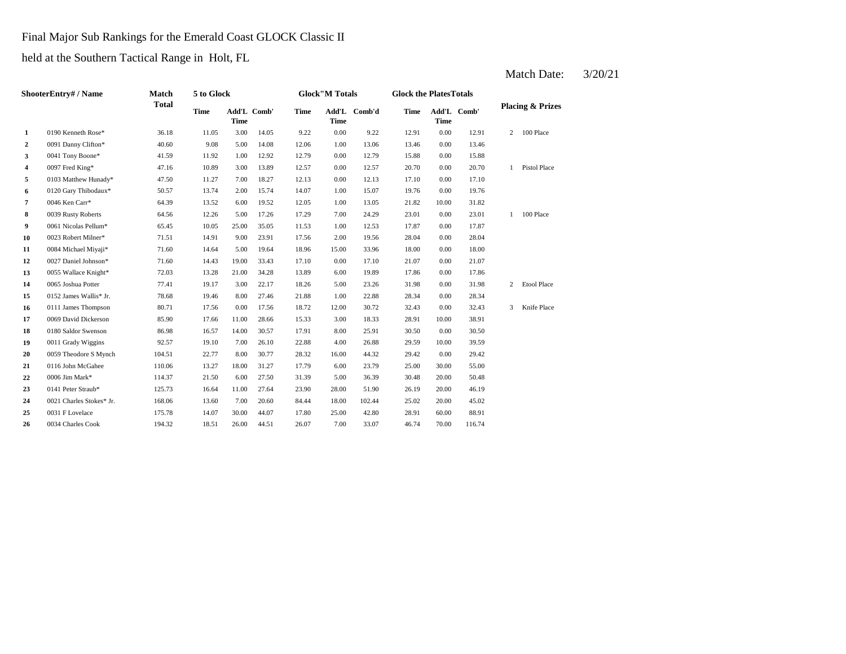## Final Major Sub Rankings for the Emerald Coast GLOCK Classic II

held at the Southern Tactical Range in Holt, FL

|                  | ShooterEntry# / Name     | Match        | 5 to Glock  |             |             |             | <b>Glock"M Totals</b> |              | <b>Glock the PlatesTotals</b> |             |             |   |                             |
|------------------|--------------------------|--------------|-------------|-------------|-------------|-------------|-----------------------|--------------|-------------------------------|-------------|-------------|---|-----------------------------|
|                  |                          | <b>Total</b> | <b>Time</b> | <b>Time</b> | Add'L Comb' | <b>Time</b> | <b>Time</b>           | Add'L Comb'd | <b>Time</b>                   | <b>Time</b> | Add'L Comb' |   | <b>Placing &amp; Prizes</b> |
| 1                | 0190 Kenneth Rose*       | 36.18        | 11.05       | 3.00        | 14.05       | 9.22        | 0.00                  | 9.22         | 12.91                         | 0.00        | 12.91       | 2 | 100 Place                   |
| $\boldsymbol{2}$ | 0091 Danny Clifton*      | 40.60        | 9.08        | 5.00        | 14.08       | 12.06       | 1.00                  | 13.06        | 13.46                         | 0.00        | 13.46       |   |                             |
| 3                | 0041 Tony Boone*         | 41.59        | 11.92       | 1.00        | 12.92       | 12.79       | 0.00                  | 12.79        | 15.88                         | 0.00        | 15.88       |   |                             |
| 4                | 0097 Fred King*          | 47.16        | 10.89       | 3.00        | 13.89       | 12.57       | 0.00                  | 12.57        | 20.70                         | 0.00        | 20.70       | 1 | <b>Pistol Place</b>         |
| 5                | 0103 Matthew Hunady*     | 47.50        | 11.27       | 7.00        | 18.27       | 12.13       | 0.00                  | 12.13        | 17.10                         | 0.00        | 17.10       |   |                             |
| 6                | 0120 Gary Thibodaux*     | 50.57        | 13.74       | 2.00        | 15.74       | 14.07       | 1.00                  | 15.07        | 19.76                         | 0.00        | 19.76       |   |                             |
| 7                | 0046 Ken Carr*           | 64.39        | 13.52       | 6.00        | 19.52       | 12.05       | 1.00                  | 13.05        | 21.82                         | 10.00       | 31.82       |   |                             |
| 8                | 0039 Rusty Roberts       | 64.56        | 12.26       | 5.00        | 17.26       | 17.29       | 7.00                  | 24.29        | 23.01                         | 0.00        | 23.01       | 1 | 100 Place                   |
| 9                | 0061 Nicolas Pellum*     | 65.45        | 10.05       | 25.00       | 35.05       | 11.53       | 1.00                  | 12.53        | 17.87                         | 0.00        | 17.87       |   |                             |
| 10               | 0023 Robert Milner*      | 71.51        | 14.91       | 9.00        | 23.91       | 17.56       | 2.00                  | 19.56        | 28.04                         | 0.00        | 28.04       |   |                             |
| 11               | 0084 Michael Miyaji*     | 71.60        | 14.64       | 5.00        | 19.64       | 18.96       | 15.00                 | 33.96        | 18.00                         | 0.00        | 18.00       |   |                             |
| 12               | 0027 Daniel Johnson*     | 71.60        | 14.43       | 19.00       | 33.43       | 17.10       | 0.00                  | 17.10        | 21.07                         | 0.00        | 21.07       |   |                             |
| 13               | 0055 Wallace Knight*     | 72.03        | 13.28       | 21.00       | 34.28       | 13.89       | 6.00                  | 19.89        | 17.86                         | 0.00        | 17.86       |   |                             |
| 14               | 0065 Joshua Potter       | 77.41        | 19.17       | 3.00        | 22.17       | 18.26       | 5.00                  | 23.26        | 31.98                         | 0.00        | 31.98       | 2 | Etool Place                 |
| 15               | 0152 James Wallis* Jr.   | 78.68        | 19.46       | 8.00        | 27.46       | 21.88       | 1.00                  | 22.88        | 28.34                         | 0.00        | 28.34       |   |                             |
| 16               | 0111 James Thompson      | 80.71        | 17.56       | 0.00        | 17.56       | 18.72       | 12.00                 | 30.72        | 32.43                         | 0.00        | 32.43       | 3 | Knife Place                 |
| 17               | 0069 David Dickerson     | 85.90        | 17.66       | 11.00       | 28.66       | 15.33       | 3.00                  | 18.33        | 28.91                         | 10.00       | 38.91       |   |                             |
| 18               | 0180 Saldor Swenson      | 86.98        | 16.57       | 14.00       | 30.57       | 17.91       | 8.00                  | 25.91        | 30.50                         | 0.00        | 30.50       |   |                             |
| 19               | 0011 Grady Wiggins       | 92.57        | 19.10       | 7.00        | 26.10       | 22.88       | 4.00                  | 26.88        | 29.59                         | 10.00       | 39.59       |   |                             |
| 20               | 0059 Theodore S Mynch    | 104.51       | 22.77       | 8.00        | 30.77       | 28.32       | 16.00                 | 44.32        | 29.42                         | 0.00        | 29.42       |   |                             |
| 21               | 0116 John McGahee        | 110.06       | 13.27       | 18.00       | 31.27       | 17.79       | 6.00                  | 23.79        | 25.00                         | 30.00       | 55.00       |   |                             |
| 22               | 0006 Jim Mark*           | 114.37       | 21.50       | 6.00        | 27.50       | 31.39       | 5.00                  | 36.39        | 30.48                         | 20.00       | 50.48       |   |                             |
| 23               | 0141 Peter Straub*       | 125.73       | 16.64       | 11.00       | 27.64       | 23.90       | 28.00                 | 51.90        | 26.19                         | 20.00       | 46.19       |   |                             |
| 24               | 0021 Charles Stokes* Jr. | 168.06       | 13.60       | 7.00        | 20.60       | 84.44       | 18.00                 | 102.44       | 25.02                         | 20.00       | 45.02       |   |                             |
| 25               | 0031 F Lovelace          | 175.78       | 14.07       | 30.00       | 44.07       | 17.80       | 25.00                 | 42.80        | 28.91                         | 60.00       | 88.91       |   |                             |
| 26               | 0034 Charles Cook        | 194.32       | 18.51       | 26.00       | 44.51       | 26.07       | 7.00                  | 33.07        | 46.74                         | 70.00       | 116.74      |   |                             |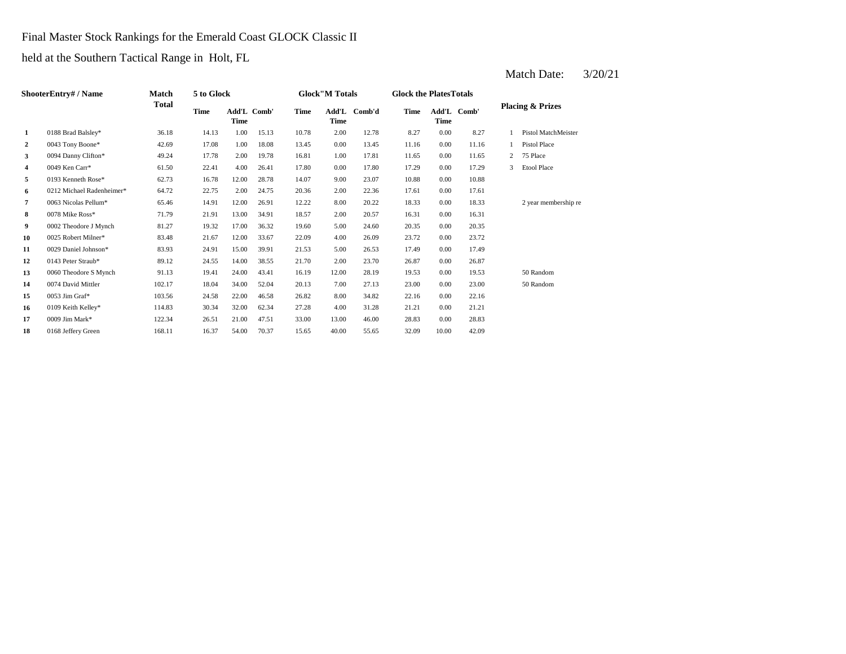Final Master Stock Rankings for the Emerald Coast GLOCK Classic II

held at the Southern Tactical Range in Holt, FL

| <b>ShooterEntry# / Name</b> |                           | Match  | 5 to Glock                  |       |       | <b>Glock</b> "M Totals |               |        | <b>Glock the PlatesTotals</b> |       |             |                             |                      |
|-----------------------------|---------------------------|--------|-----------------------------|-------|-------|------------------------|---------------|--------|-------------------------------|-------|-------------|-----------------------------|----------------------|
|                             |                           | Total  | Time<br>Add'L Comb'<br>Time |       |       | <b>Time</b>            | Add'L<br>Time | Comb'd | Time                          | Time  | Add'L Comb' | <b>Placing &amp; Prizes</b> |                      |
| 1                           | 0188 Brad Balsley*        | 36.18  | 14.13                       | 1.00  | 15.13 | 10.78                  | 2.00          | 12.78  | 8.27                          | 0.00  | 8.27        |                             | Pistol MatchMeister  |
| $\overline{2}$              | 0043 Tony Boone*          | 42.69  | 17.08                       | 1.00  | 18.08 | 13.45                  | 0.00          | 13.45  | 11.16                         | 0.00  | 11.16       |                             | Pistol Place         |
| 3                           | 0094 Danny Clifton*       | 49.24  | 17.78                       | 2.00  | 19.78 | 16.81                  | 1.00          | 17.81  | 11.65                         | 0.00  | 11.65       | $\overline{2}$              | 75 Place             |
| 4                           | 0049 Ken Carr*            | 61.50  | 22.41                       | 4.00  | 26.41 | 17.80                  | 0.00          | 17.80  | 17.29                         | 0.00  | 17.29       | 3                           | Etool Place          |
| 5                           | 0193 Kenneth Rose*        | 62.73  | 16.78                       | 12.00 | 28.78 | 14.07                  | 9.00          | 23.07  | 10.88                         | 0.00  | 10.88       |                             |                      |
| 6                           | 0212 Michael Radenheimer* | 64.72  | 22.75                       | 2.00  | 24.75 | 20.36                  | 2.00          | 22.36  | 17.61                         | 0.00  | 17.61       |                             |                      |
| 7                           | 0063 Nicolas Pellum*      | 65.46  | 14.91                       | 12.00 | 26.91 | 12.22                  | 8.00          | 20.22  | 18.33                         | 0.00  | 18.33       |                             | 2 year membership re |
| 8                           | 0078 Mike Ross*           | 71.79  | 21.91                       | 13.00 | 34.91 | 18.57                  | 2.00          | 20.57  | 16.31                         | 0.00  | 16.31       |                             |                      |
| 9                           | 0002 Theodore J Mynch     | 81.27  | 19.32                       | 17.00 | 36.32 | 19.60                  | 5.00          | 24.60  | 20.35                         | 0.00  | 20.35       |                             |                      |
| 10                          | 0025 Robert Milner*       | 83.48  | 21.67                       | 12.00 | 33.67 | 22.09                  | 4.00          | 26.09  | 23.72                         | 0.00  | 23.72       |                             |                      |
| 11                          | 0029 Daniel Johnson*      | 83.93  | 24.91                       | 15.00 | 39.91 | 21.53                  | 5.00          | 26.53  | 17.49                         | 0.00  | 17.49       |                             |                      |
| 12                          | 0143 Peter Straub*        | 89.12  | 24.55                       | 14.00 | 38.55 | 21.70                  | 2.00          | 23.70  | 26.87                         | 0.00  | 26.87       |                             |                      |
| 13                          | 0060 Theodore S Mynch     | 91.13  | 19.41                       | 24.00 | 43.41 | 16.19                  | 12.00         | 28.19  | 19.53                         | 0.00  | 19.53       |                             | 50 Random            |
| 14                          | 0074 David Mittler        | 102.17 | 18.04                       | 34.00 | 52.04 | 20.13                  | 7.00          | 27.13  | 23.00                         | 0.00  | 23.00       |                             | 50 Random            |
| 15                          | 0053 Jim Graf*            | 103.56 | 24.58                       | 22.00 | 46.58 | 26.82                  | 8.00          | 34.82  | 22.16                         | 0.00  | 22.16       |                             |                      |
| 16                          | 0109 Keith Kelley*        | 114.83 | 30.34                       | 32.00 | 62.34 | 27.28                  | 4.00          | 31.28  | 21.21                         | 0.00  | 21.21       |                             |                      |
| 17                          | 0009 Jim Mark*            | 122.34 | 26.51                       | 21.00 | 47.51 | 33.00                  | 13.00         | 46.00  | 28.83                         | 0.00  | 28.83       |                             |                      |
| 18                          | 0168 Jeffery Green        | 168.11 | 16.37                       | 54.00 | 70.37 | 15.65                  | 40.00         | 55.65  | 32.09                         | 10.00 | 42.09       |                             |                      |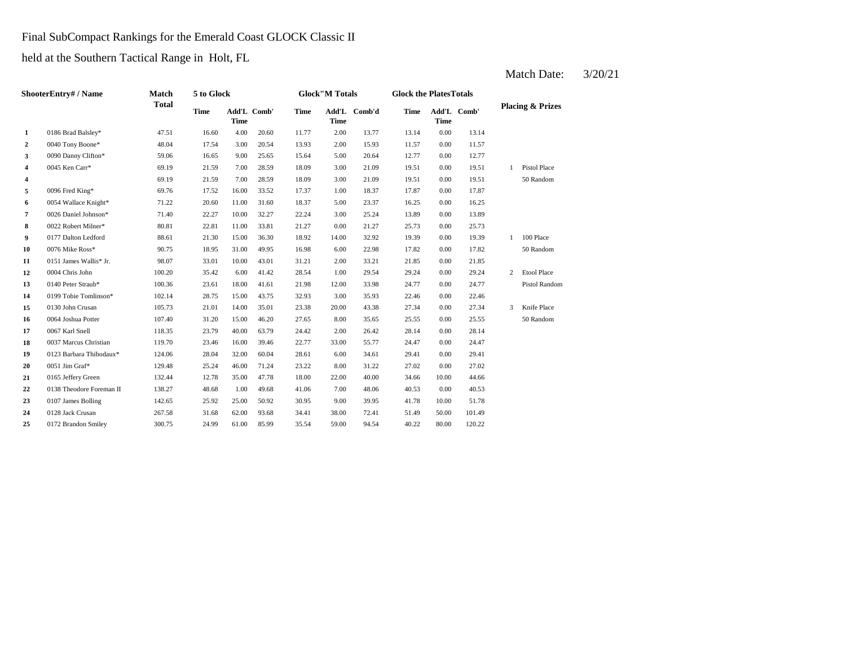Final SubCompact Rankings for the Emerald Coast GLOCK Classic II

held at the Southern Tactical Range in Holt, FL

| <b>ShooterEntry#/Name</b> |                          | Match        | 5 to Glock  |             |             | <b>Glock</b> "M Totals |             |              | <b>Glock the PlatesTotals</b> |             |             |                             |                     |
|---------------------------|--------------------------|--------------|-------------|-------------|-------------|------------------------|-------------|--------------|-------------------------------|-------------|-------------|-----------------------------|---------------------|
|                           |                          | <b>Total</b> | <b>Time</b> | <b>Time</b> | Add'L Comb' | <b>Time</b>            | <b>Time</b> | Add'L Comb'd | <b>Time</b>                   | <b>Time</b> | Add'L Comb' | <b>Placing &amp; Prizes</b> |                     |
| 1                         | 0186 Brad Balsley*       | 47.51        | 16.60       | 4.00        | 20.60       | 11.77                  | 2.00        | 13.77        | 13.14                         | 0.00        | 13.14       |                             |                     |
| $\boldsymbol{2}$          | 0040 Tony Boone*         | 48.04        | 17.54       | 3.00        | 20.54       | 13.93                  | 2.00        | 15.93        | 11.57                         | 0.00        | 11.57       |                             |                     |
| 3                         | 0090 Danny Clifton*      | 59.06        | 16.65       | 9.00        | 25.65       | 15.64                  | 5.00        | 20.64        | 12.77                         | 0.00        | 12.77       |                             |                     |
| 4                         | 0045 Ken Carr*           | 69.19        | 21.59       | 7.00        | 28.59       | 18.09                  | 3.00        | 21.09        | 19.51                         | 0.00        | 19.51       | $\mathbf{1}$                | <b>Pistol Place</b> |
| 4                         |                          | 69.19        | 21.59       | 7.00        | 28.59       | 18.09                  | 3.00        | 21.09        | 19.51                         | 0.00        | 19.51       |                             | 50 Random           |
| 5                         | 0096 Fred King*          | 69.76        | 17.52       | 16.00       | 33.52       | 17.37                  | 1.00        | 18.37        | 17.87                         | 0.00        | 17.87       |                             |                     |
| 6                         | 0054 Wallace Knight*     | 71.22        | 20.60       | 11.00       | 31.60       | 18.37                  | 5.00        | 23.37        | 16.25                         | 0.00        | 16.25       |                             |                     |
| 7                         | 0026 Daniel Johnson*     | 71.40        | 22.27       | 10.00       | 32.27       | 22.24                  | 3.00        | 25.24        | 13.89                         | 0.00        | 13.89       |                             |                     |
| 8                         | 0022 Robert Milner*      | 80.81        | 22.81       | 11.00       | 33.81       | 21.27                  | 0.00        | 21.27        | 25.73                         | 0.00        | 25.73       |                             |                     |
| 9                         | 0177 Dalton Ledford      | 88.61        | 21.30       | 15.00       | 36.30       | 18.92                  | 14.00       | 32.92        | 19.39                         | 0.00        | 19.39       | $\mathbf{1}$                | 100 Place           |
| 10                        | 0076 Mike Ross*          | 90.75        | 18.95       | 31.00       | 49.95       | 16.98                  | 6.00        | 22.98        | 17.82                         | 0.00        | 17.82       |                             | 50 Random           |
| 11                        | 0151 James Wallis* Jr.   | 98.07        | 33.01       | 10.00       | 43.01       | 31.21                  | 2.00        | 33.21        | 21.85                         | 0.00        | 21.85       |                             |                     |
| 12                        | 0004 Chris John          | 100.20       | 35.42       | 6.00        | 41.42       | 28.54                  | 1.00        | 29.54        | 29.24                         | 0.00        | 29.24       | $\overline{c}$              | <b>Etool Place</b>  |
| 13                        | 0140 Peter Straub*       | 100.36       | 23.61       | 18.00       | 41.61       | 21.98                  | 12.00       | 33.98        | 24.77                         | 0.00        | 24.77       |                             | Pistol Random       |
| 14                        | 0199 Tobie Tomlinson*    | 102.14       | 28.75       | 15.00       | 43.75       | 32.93                  | 3.00        | 35.93        | 22.46                         | 0.00        | 22.46       |                             |                     |
| 15                        | 0130 John Crusan         | 105.73       | 21.01       | 14.00       | 35.01       | 23.38                  | 20.00       | 43.38        | 27.34                         | 0.00        | 27.34       | 3                           | Knife Place         |
| 16                        | 0064 Joshua Potter       | 107.40       | 31.20       | 15.00       | 46.20       | 27.65                  | 8.00        | 35.65        | 25.55                         | 0.00        | 25.55       |                             | 50 Random           |
| 17                        | 0067 Karl Snell          | 118.35       | 23.79       | 40.00       | 63.79       | 24.42                  | 2.00        | 26.42        | 28.14                         | 0.00        | 28.14       |                             |                     |
| 18                        | 0037 Marcus Christian    | 119.70       | 23.46       | 16.00       | 39.46       | 22.77                  | 33.00       | 55.77        | 24.47                         | 0.00        | 24.47       |                             |                     |
| 19                        | 0123 Barbara Thibodaux*  | 124.06       | 28.04       | 32.00       | 60.04       | 28.61                  | 6.00        | 34.61        | 29.41                         | 0.00        | 29.41       |                             |                     |
| 20                        | 0051 Jim Graf*           | 129.48       | 25.24       | 46.00       | 71.24       | 23.22                  | 8.00        | 31.22        | 27.02                         | 0.00        | 27.02       |                             |                     |
| 21                        | 0165 Jeffery Green       | 132.44       | 12.78       | 35.00       | 47.78       | 18.00                  | 22.00       | 40.00        | 34.66                         | 10.00       | 44.66       |                             |                     |
| 22                        | 0138 Theodore Foreman II | 138.27       | 48.68       | 1.00        | 49.68       | 41.06                  | 7.00        | 48.06        | 40.53                         | 0.00        | 40.53       |                             |                     |
| 23                        | 0107 James Bolling       | 142.65       | 25.92       | 25.00       | 50.92       | 30.95                  | 9.00        | 39.95        | 41.78                         | 10.00       | 51.78       |                             |                     |
| 24                        | 0128 Jack Crusan         | 267.58       | 31.68       | 62.00       | 93.68       | 34.41                  | 38.00       | 72.41        | 51.49                         | 50.00       | 101.49      |                             |                     |
| 25                        | 0172 Brandon Smiley      | 300.75       | 24.99       | 61.00       | 85.99       | 35.54                  | 59.00       | 94.54        | 40.22                         | 80.00       | 120.22      |                             |                     |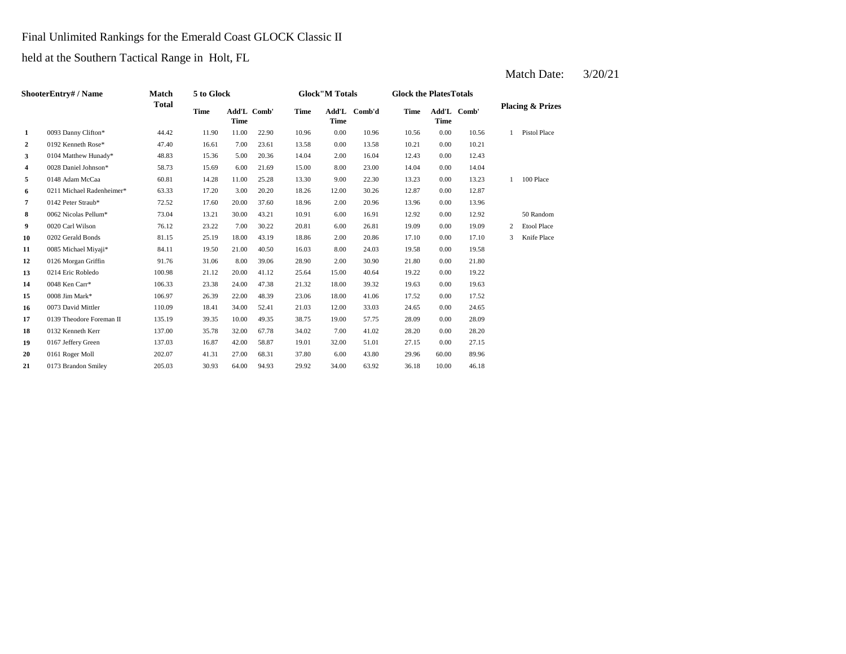## Final Unlimited Rankings for the Emerald Coast GLOCK Classic II

held at the Southern Tactical Range in Holt, FL

| ShooterEntry# / Name |                           | Match        | 5 to Glock |                            |       | <b>Glock"M Totals</b> |       |              | <b>Glock the Plates Totals</b> |                            |       |                             |                    |
|----------------------|---------------------------|--------------|------------|----------------------------|-------|-----------------------|-------|--------------|--------------------------------|----------------------------|-------|-----------------------------|--------------------|
|                      |                           | <b>Total</b> | Time       | Add'L Comb'<br><b>Time</b> |       | Time                  | Time  | Add'L Comb'd | Time                           | Add'L Comb'<br><b>Time</b> |       | <b>Placing &amp; Prizes</b> |                    |
| 1                    | 0093 Danny Clifton*       | 44.42        | 11.90      | 11.00                      | 22.90 | 10.96                 | 0.00  | 10.96        | 10.56                          | 0.00                       | 10.56 | 1                           | Pistol Place       |
| 2                    | 0192 Kenneth Rose*        | 47.40        | 16.61      | 7.00                       | 23.61 | 13.58                 | 0.00  | 13.58        | 10.21                          | 0.00                       | 10.21 |                             |                    |
| 3                    | 0104 Matthew Hunady*      | 48.83        | 15.36      | 5.00                       | 20.36 | 14.04                 | 2.00  | 16.04        | 12.43                          | 0.00                       | 12.43 |                             |                    |
| 4                    | 0028 Daniel Johnson*      | 58.73        | 15.69      | 6.00                       | 21.69 | 15.00                 | 8.00  | 23.00        | 14.04                          | 0.00                       | 14.04 |                             |                    |
| 5                    | 0148 Adam McCaa           | 60.81        | 14.28      | 11.00                      | 25.28 | 13.30                 | 9.00  | 22.30        | 13.23                          | 0.00                       | 13.23 | $\mathbf{1}$                | 100 Place          |
| 6                    | 0211 Michael Radenheimer* | 63.33        | 17.20      | 3.00                       | 20.20 | 18.26                 | 12.00 | 30.26        | 12.87                          | 0.00                       | 12.87 |                             |                    |
| 7                    | 0142 Peter Straub*        | 72.52        | 17.60      | 20.00                      | 37.60 | 18.96                 | 2.00  | 20.96        | 13.96                          | 0.00                       | 13.96 |                             |                    |
| 8                    | 0062 Nicolas Pellum*      | 73.04        | 13.21      | 30.00                      | 43.21 | 10.91                 | 6.00  | 16.91        | 12.92                          | 0.00                       | 12.92 |                             | 50 Random          |
| 9                    | 0020 Carl Wilson          | 76.12        | 23.22      | 7.00                       | 30.22 | 20.81                 | 6.00  | 26.81        | 19.09                          | 0.00                       | 19.09 | 2                           | <b>Etool Place</b> |
| 10                   | 0202 Gerald Bonds         | 81.15        | 25.19      | 18.00                      | 43.19 | 18.86                 | 2.00  | 20.86        | 17.10                          | 0.00                       | 17.10 | 3                           | Knife Place        |
| 11                   | 0085 Michael Miyaji*      | 84.11        | 19.50      | 21.00                      | 40.50 | 16.03                 | 8.00  | 24.03        | 19.58                          | 0.00                       | 19.58 |                             |                    |
| 12                   | 0126 Morgan Griffin       | 91.76        | 31.06      | 8.00                       | 39.06 | 28.90                 | 2.00  | 30.90        | 21.80                          | 0.00                       | 21.80 |                             |                    |
| 13                   | 0214 Eric Robledo         | 100.98       | 21.12      | 20.00                      | 41.12 | 25.64                 | 15.00 | 40.64        | 19.22                          | 0.00                       | 19.22 |                             |                    |
| 14                   | 0048 Ken Carr*            | 106.33       | 23.38      | 24.00                      | 47.38 | 21.32                 | 18.00 | 39.32        | 19.63                          | 0.00                       | 19.63 |                             |                    |
| 15                   | 0008 Jim Mark*            | 106.97       | 26.39      | 22.00                      | 48.39 | 23.06                 | 18.00 | 41.06        | 17.52                          | 0.00                       | 17.52 |                             |                    |
| 16                   | 0073 David Mittler        | 110.09       | 18.41      | 34.00                      | 52.41 | 21.03                 | 12.00 | 33.03        | 24.65                          | 0.00                       | 24.65 |                             |                    |
| 17                   | 0139 Theodore Foreman II  | 135.19       | 39.35      | 10.00                      | 49.35 | 38.75                 | 19.00 | 57.75        | 28.09                          | 0.00                       | 28.09 |                             |                    |
| 18                   | 0132 Kenneth Kerr         | 137.00       | 35.78      | 32.00                      | 67.78 | 34.02                 | 7.00  | 41.02        | 28.20                          | 0.00                       | 28.20 |                             |                    |
| 19                   | 0167 Jeffery Green        | 137.03       | 16.87      | 42.00                      | 58.87 | 19.01                 | 32.00 | 51.01        | 27.15                          | 0.00                       | 27.15 |                             |                    |
| 20                   | 0161 Roger Moll           | 202.07       | 41.31      | 27.00                      | 68.31 | 37.80                 | 6.00  | 43.80        | 29.96                          | 60.00                      | 89.96 |                             |                    |
| 21                   | 0173 Brandon Smiley       | 205.03       | 30.93      | 64.00                      | 94.93 | 29.92                 | 34.00 | 63.92        | 36.18                          | 10.00                      | 46.18 |                             |                    |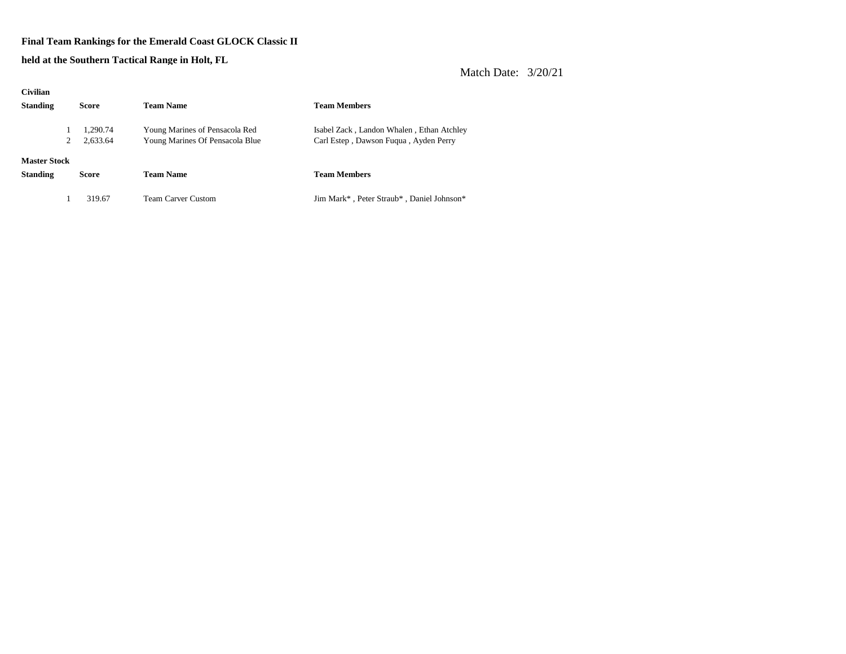#### **Final Team Rankings for the Emerald Coast GLOCK Classic II**

**held at the Southern Tactical Range in Holt, FL**

| <b>Civilian</b>     |          |                                 |                                           |  |  |  |  |
|---------------------|----------|---------------------------------|-------------------------------------------|--|--|--|--|
| <b>Standing</b>     | Score    | <b>Team Name</b>                | <b>Team Members</b>                       |  |  |  |  |
|                     | 1.290.74 | Young Marines of Pensacola Red  | Isabel Zack, Landon Whalen, Ethan Atchley |  |  |  |  |
| 2                   | 2,633.64 | Young Marines Of Pensacola Blue | Carl Estep, Dawson Fuqua, Ayden Perry     |  |  |  |  |
| <b>Master Stock</b> |          |                                 |                                           |  |  |  |  |
| <b>Standing</b>     | Score    | <b>Team Name</b>                | <b>Team Members</b>                       |  |  |  |  |
|                     | 319.67   | <b>Team Carver Custom</b>       | Jim Mark*, Peter Straub*, Daniel Johnson* |  |  |  |  |